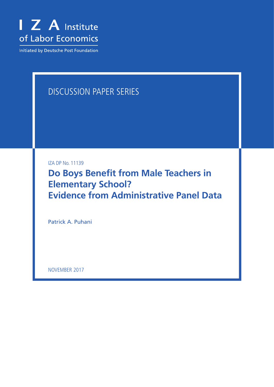

Initiated by Deutsche Post Foundation

# DISCUSSION PAPER SERIES

IZA DP No. 11139

**Do Boys Benefit from Male Teachers in Elementary School? Evidence from Administrative Panel Data**

Patrick A. Puhani

NOVEMBER 2017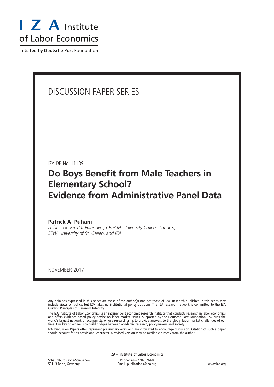

Initiated by Deutsche Post Foundation

## DISCUSSION PAPER SERIES

IZA DP No. 11139

# **Do Boys Benefit from Male Teachers in Elementary School? Evidence from Administrative Panel Data**

**Patrick A. Puhani** *Leibniz Universität Hannover, CReAM, University College London, SEW, University of St. Gallen, and IZA*

NOVEMBER 2017

Any opinions expressed in this paper are those of the author(s) and not those of IZA. Research published in this series may include views on policy, but IZA takes no institutional policy positions. The IZA research network is committed to the IZA Guiding Principles of Research Integrity.

The IZA Institute of Labor Economics is an independent economic research institute that conducts research in labor economics and offers evidence-based policy advice on labor market issues. Supported by the Deutsche Post Foundation, IZA runs the world's largest network of economists, whose research aims to provide answers to the global labor market challenges of our time. Our key objective is to build bridges between academic research, policymakers and society.

IZA Discussion Papers often represent preliminary work and are circulated to encourage discussion. Citation of such a paper should account for its provisional character. A revised version may be available directly from the author.

**IZA – Institute of Labor Economics**

| Schaumburg-Lippe-Straße 5-9 | Phone: +49-228-3894-0       |             |
|-----------------------------|-----------------------------|-------------|
| 53113 Bonn, Germany         | Email: publications@iza.org | www.iza.org |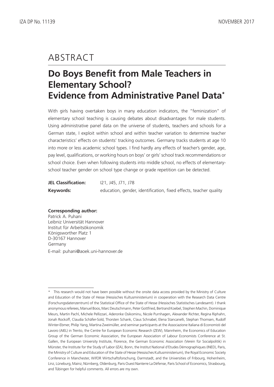# ABSTRACT

# **Do Boys Benefit from Male Teachers in Elementary School? Evidence from Administrative Panel Data\***

With girls having overtaken boys in many education indicators, the "feminization" of elementary school teaching is causing debates about disadvantages for male students. Using administrative panel data on the universe of students, teachers and schools for a German state, I exploit within school and within teacher variation to determine teacher characteristics' effects on students' tracking outcomes. Germany tracks students at age 10 into more or less academic school types. I find hardly any effects of teacher's gender, age, pay level, qualifications, or working hours on boys' or girls' school track recommendations or school choice. Even when following students into middle school, no effects of elementaryschool teacher gender on school type change or grade repetition can be detected.

| <b>JEL Classification:</b> | 121, J45, J71, J78                                                |
|----------------------------|-------------------------------------------------------------------|
| Keywords:                  | education, gender, identification, fixed effects, teacher quality |

#### **Corresponding author:**

Patrick A. Puhani Leibniz Universität Hannover Institut für Arbeitsökonomik Königsworther Platz 1 D-30167 Hannover Germany E-mail: puhani@aoek.uni-hannover.de

This research would not have been possible without the onsite data access provided by the Ministry of Culture and Education of the State of Hesse (Hessisches Kultusministerium) in cooperation with the Research Data Centre (Forschungsdatenzentrum) of the Statistical Office of the State of Hesse (Hessisches Statistisches Landesamt). I thank anonymous referees, Manuel Boos, Marc Deutschmann, Peter Gottfried, Bertrand Koebel, Stephen Machin, Dominique Meurs, Martin Pachl, Michele Pellizzari, Aderonke Osikominu, Nicole Purnhagen, Alexander Richter, Regina Riphahn, Jonah Rockoff, Claudia Schäfer-Sold, Thorsten Schank, Claus Schnabel, Elena Stancanelli, Stephan Thomsen, Rudolf Winter-Ebmer, Philip Yang, Martina Zweimüller, and seminar participants at the Associazione Italiana di Economisti del Lavoro (AIEL) in Trento, the Centre for European Economic Research (ZEW), Mannheim, the Economics of Education Group of the German Economic Association, the European Association of Labour Economists Conference at St. Gallen, the European University Institute, Florence, the German Economic Association (Verein für Socialpolitik) in Münster, the Institute for the Study of Labor (IZA), Bonn, the Institut National d'Etudes Démographiques (INED), Paris, the Ministry of Culture and Education of the State of Hesse (Hessisches Kultusministerium), the Royal Economic Society Conference in Manchester, WifOR Wirtschaftsforschung, Darmstadt, and the Universities of Fribourg, Hohenheim, Linz, Lüneburg, Mainz, Nürnberg, Oldenburg, Paris Ouest Nanterre La Défense, Paris School of Economics, Strasbourg, and Tübingen for helpful comments. All errors are my own.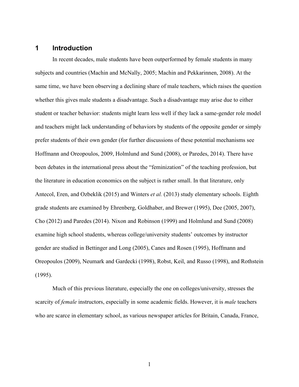### **1 Introduction**

In recent decades, male students have been outperformed by female students in many subjects and countries (Machin and McNally, 2005; Machin and Pekkarinnen, 2008). At the same time, we have been observing a declining share of male teachers, which raises the question whether this gives male students a disadvantage. Such a disadvantage may arise due to either student or teacher behavior: students might learn less well if they lack a same-gender role model and teachers might lack understanding of behaviors by students of the opposite gender or simply prefer students of their own gender (for further discussions of these potential mechanisms see Hoffmann and Oreopoulos, 2009, Holmlund and Sund (2008), or Paredes, 2014). There have been debates in the international press about the "feminization" of the teaching profession, but the literature in education economics on the subject is rather small. In that literature, only Antecol, Eren, and Ozbeklik (2015) and Winters *et al.* (2013) study elementary schools. Eighth grade students are examined by Ehrenberg, Goldhaber, and Brewer (1995), Dee (2005, 2007), Cho (2012) and Paredes (2014). Nixon and Robinson (1999) and Holmlund and Sund (2008) examine high school students, whereas college/university students' outcomes by instructor gender are studied in Bettinger and Long (2005), Canes and Rosen (1995), Hoffmann and Oreopoulos (2009), Neumark and Gardecki (1998), Robst, Keil, and Russo (1998), and Rothstein (1995).

Much of this previous literature, especially the one on colleges/university, stresses the scarcity of *female* instructors, especially in some academic fields. However, it is *male* teachers who are scarce in elementary school, as various newspaper articles for Britain, Canada, France,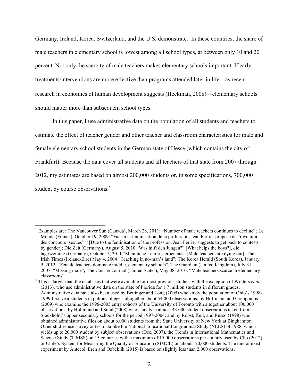Germany, Ireland, Korea, Switzerland, and the U.S. demonstrate. <sup>1</sup> In these countries, the share of male teachers in elementary school is lowest among all school types, at between only 10 and 20 percent. Not only the scarcity of male teachers makes elementary schools important. If early treatments/interventions are more effective than programs attended later in life—as recent research in economics of human development suggests (Heckman, 2008)—elementary schools should matter more than subsequent school types.

In this paper, I use administrative data on the population of all students and teachers to estimate the effect of teacher gender and other teacher and classroom characteristics for male and female elementary school students in the German state of Hesse (which contains the city of Frankfurt). Because the data cover all students and all teachers of that state from 2007 through 2012, my estimates are based on almost 200,000 students or, in some specifications, 700,000 student by course observations.<sup>2</sup>

Examples are: The Vancouver Sun (Canada), March 28, 2011: "Number of male teachers continues to decline"; Le Monde (France), October 19, 2009: "Face à la feminisation de la profession, Jean Ferrier propose de "revenir à des concours 'sexués'"" [Due to the feminisation of the profession, Jean Ferrier suggests to get back to contests by gender]; Die Zeit (Germany), August 5, 2010 "Was hilft den Jungen?" [What helps the boys?], die tageszeitung (Germany), October 5, 2011 "Männliche Lehrer sterben aus" [Male teachers are dying out], The Irish Times (Ireland-Eire) May 4, 2004 "Teaching in no-man's land"; The Korea Herald (South Korea), January 9, 2012: "Female teachers dominate middle, elementary schools", The Guardian (United Kingdom), July 31, 2007: "Missing male"**;** The Courier-Journal (United States), May 08, 2010: "Male teachers scarce in elementary

classrooms". <sup>2</sup> This is larger than the databases that were available for most previous studies, with the exception of Winters *et al.* (2013), who use administrative data on the state of Florida for 1.7 million students in different grades. Administrative data have also been used by Bettinger and Long (2005) who study the population of Ohio's 1998- 1999 first-year students in public colleges, altogether about 54,000 observations; by Hoffmann and Oreopoulos (2009) who examine the 1996-2005 entry cohorts of the University of Toronto with altogether about 100,000 observations; by Holmlund and Sund (2008) who a analyze almost 43,000 student observations taken from Stockholm's upper secondary schools for the period 1997-2004; and by Robst, Keil, and Russo (1998) who obtained administrative files on about 6,000 students from the State University of New York at Binghamton. Other studies use survey or test data like the National Educational Longitudinal Study (NELS) of 1988, which yields up to 20,000 student by subject observations (Dee, 2007), the Trends in International Mathematics and Science Study (TIMSS) on 15 countries with a maximum of 15,000 observations per country used by Cho (2012), or Chile's System for Measuring the Quality of Education (SIMCE) on about 120,000 students. The randomized experiment by Antecol, Eren and Ozbeklik (2015) is based on slightly less than 2,000 observations.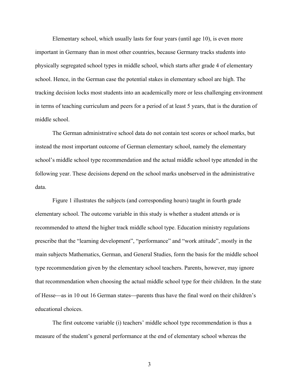Elementary school, which usually lasts for four years (until age 10), is even more important in Germany than in most other countries, because Germany tracks students into physically segregated school types in middle school, which starts after grade 4 of elementary school. Hence, in the German case the potential stakes in elementary school are high. The tracking decision locks most students into an academically more or less challenging environment in terms of teaching curriculum and peers for a period of at least 5 years, that is the duration of middle school.

The German administrative school data do not contain test scores or school marks, but instead the most important outcome of German elementary school, namely the elementary school's middle school type recommendation and the actual middle school type attended in the following year. These decisions depend on the school marks unobserved in the administrative data.

Figure 1 illustrates the subjects (and corresponding hours) taught in fourth grade elementary school. The outcome variable in this study is whether a student attends or is recommended to attend the higher track middle school type. Education ministry regulations prescribe that the "learning development", "performance" and "work attitude", mostly in the main subjects Mathematics, German, and General Studies, form the basis for the middle school type recommendation given by the elementary school teachers. Parents, however, may ignore that recommendation when choosing the actual middle school type for their children. In the state of Hesse—as in 10 out 16 German states—parents thus have the final word on their children's educational choices.

The first outcome variable (i) teachers' middle school type recommendation is thus a measure of the student's general performance at the end of elementary school whereas the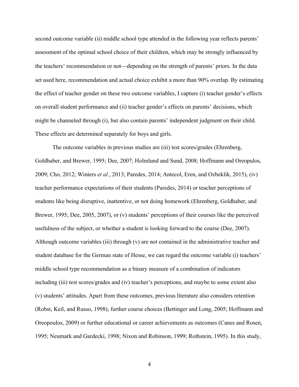second outcome variable (ii) middle school type attended in the following year reflects parents' assessment of the optimal school choice of their children, which may be strongly influenced by the teachers' recommendation or not—depending on the strength of parents' priors. In the data set used here, recommendation and actual choice exhibit a more than 90% overlap. By estimating the effect of teacher gender on these two outcome variables, I capture (i) teacher gender's effects on overall student performance and (ii) teacher gender's effects on parents' decisions, which might be channeled through (i), but also contain parents' independent judgment on their child. These effects are determined separately for boys and girls.

The outcome variables in previous studies are (iii) test scores/grades (Ehrenberg, Goldhaber, and Brewer, 1995; Dee, 2007; Holmlund and Sund, 2008; Hoffmann and Oreopulos, 2009; Cho, 2012; Winters *et al.*, 2013; Paredes, 2014; Antecol, Eren, and Ozbeklik, 2015), (iv) teacher performance expectations of their students (Paredes, 2014) or teacher perceptions of students like being disruptive, inattentive, or not doing homework (Ehrenberg, Goldhaber, and Brewer, 1995; Dee, 2005, 2007), or (v) students' perceptions of their courses like the perceived usefulness of the subject, or whether a student is looking forward to the course (Dee, 2007). Although outcome variables (iii) through (v) are not contained in the administrative teacher and student database for the German state of Hesse, we can regard the outcome variable (i) teachers' middle school type recommendation as a binary measure of a combination of indicators including (iii) test scores/grades and (iv) teacher's perceptions, and maybe to some extent also (v) students' attitudes. Apart from these outcomes, previous literature also considers retention (Robst, Keil, and Russo, 1998), further course choices (Bettinger and Long, 2005; Hoffmann and Oreopoulos, 2009) or further educational or career achievements as outcomes (Canes and Rosen, 1995; Neumark and Gardecki, 1998; Nixon and Robinson, 1999; Rothstein, 1995). In this study,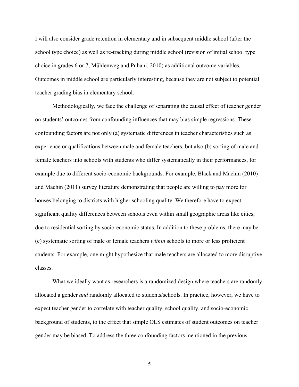I will also consider grade retention in elementary and in subsequent middle school (after the school type choice) as well as re-tracking during middle school (revision of initial school type choice in grades 6 or 7, Mühlenweg and Puhani, 2010) as additional outcome variables. Outcomes in middle school are particularly interesting, because they are not subject to potential teacher grading bias in elementary school.

Methodologically, we face the challenge of separating the causal effect of teacher gender on students' outcomes from confounding influences that may bias simple regressions. These confounding factors are not only (a) systematic differences in teacher characteristics such as experience or qualifications between male and female teachers, but also (b) sorting of male and female teachers into schools with students who differ systematically in their performances, for example due to different socio-economic backgrounds. For example, Black and Machin (2010) and Machin (2011) survey literature demonstrating that people are willing to pay more for houses belonging to districts with higher schooling quality. We therefore have to expect significant quality differences between schools even within small geographic areas like cities, due to residential sorting by socio-economic status. In addition to these problems, there may be (c) systematic sorting of male or female teachers *within* schools to more or less proficient students. For example, one might hypothesize that male teachers are allocated to more disruptive classes.

What we ideally want as researchers is a randomized design where teachers are randomly allocated a gender *and* randomly allocated to students/schools. In practice, however, we have to expect teacher gender to correlate with teacher quality, school quality, and socio-economic background of students, to the effect that simple OLS estimates of student outcomes on teacher gender may be biased. To address the three confounding factors mentioned in the previous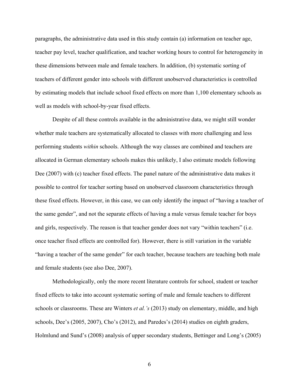paragraphs, the administrative data used in this study contain (a) information on teacher age, teacher pay level, teacher qualification, and teacher working hours to control for heterogeneity in these dimensions between male and female teachers. In addition, (b) systematic sorting of teachers of different gender into schools with different unobserved characteristics is controlled by estimating models that include school fixed effects on more than 1,100 elementary schools as well as models with school-by-year fixed effects.

Despite of all these controls available in the administrative data, we might still wonder whether male teachers are systematically allocated to classes with more challenging and less performing students *within* schools. Although the way classes are combined and teachers are allocated in German elementary schools makes this unlikely, I also estimate models following Dee (2007) with (c) teacher fixed effects. The panel nature of the administrative data makes it possible to control for teacher sorting based on unobserved classroom characteristics through these fixed effects. However, in this case, we can only identify the impact of "having a teacher of the same gender", and not the separate effects of having a male versus female teacher for boys and girls, respectively. The reason is that teacher gender does not vary "within teachers" (i.e. once teacher fixed effects are controlled for). However, there is still variation in the variable "having a teacher of the same gender" for each teacher, because teachers are teaching both male and female students (see also Dee, 2007).

Methodologically, only the more recent literature controls for school, student or teacher fixed effects to take into account systematic sorting of male and female teachers to different schools or classrooms. These are Winters *et al.'s* (2013) study on elementary, middle, and high schools, Dee's (2005, 2007), Cho's (2012), and Paredes's (2014) studies on eighth graders, Holmlund and Sund's (2008) analysis of upper secondary students, Bettinger and Long's (2005)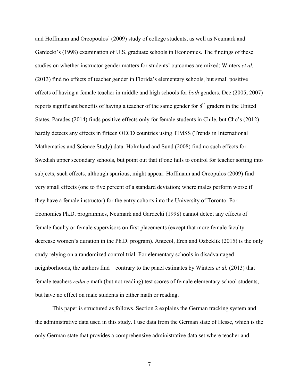and Hoffmann and Oreopoulos' (2009) study of college students, as well as Neumark and Gardecki's (1998) examination of U.S. graduate schools in Economics. The findings of these studies on whether instructor gender matters for students' outcomes are mixed: Winters *et al.* (2013) find no effects of teacher gender in Florida's elementary schools, but small positive effects of having a female teacher in middle and high schools for *both* genders. Dee (2005, 2007) reports significant benefits of having a teacher of the same gender for 8<sup>th</sup> graders in the United States, Parades (2014) finds positive effects only for female students in Chile, but Cho's (2012) hardly detects any effects in fifteen OECD countries using TIMSS (Trends in International Mathematics and Science Study) data. Holmlund and Sund (2008) find no such effects for Swedish upper secondary schools, but point out that if one fails to control for teacher sorting into subjects, such effects, although spurious, might appear. Hoffmann and Oreopulos (2009) find very small effects (one to five percent of a standard deviation; where males perform worse if they have a female instructor) for the entry cohorts into the University of Toronto. For Economics Ph.D. programmes, Neumark and Gardecki (1998) cannot detect any effects of female faculty or female supervisors on first placements (except that more female faculty decrease women's duration in the Ph.D. program). Antecol, Eren and Ozbeklik (2015) is the only study relying on a randomized control trial. For elementary schools in disadvantaged neighborhoods, the authors find – contrary to the panel estimates by Winters *et al.* (2013) that female teachers *reduce* math (but not reading) test scores of female elementary school students, but have no effect on male students in either math or reading.

This paper is structured as follows. Section 2 explains the German tracking system and the administrative data used in this study. I use data from the German state of Hesse, which is the only German state that provides a comprehensive administrative data set where teacher and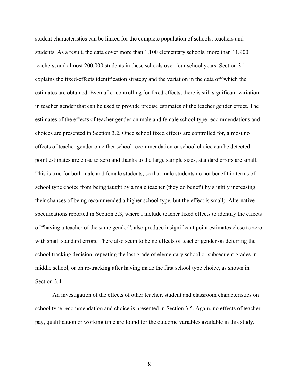student characteristics can be linked for the complete population of schools, teachers and students. As a result, the data cover more than 1,100 elementary schools, more than 11,900 teachers, and almost 200,000 students in these schools over four school years. Section 3.1 explains the fixed-effects identification strategy and the variation in the data off which the estimates are obtained. Even after controlling for fixed effects, there is still significant variation in teacher gender that can be used to provide precise estimates of the teacher gender effect. The estimates of the effects of teacher gender on male and female school type recommendations and choices are presented in Section 3.2. Once school fixed effects are controlled for, almost no effects of teacher gender on either school recommendation or school choice can be detected: point estimates are close to zero and thanks to the large sample sizes, standard errors are small. This is true for both male and female students, so that male students do not benefit in terms of school type choice from being taught by a male teacher (they do benefit by slightly increasing their chances of being recommended a higher school type, but the effect is small). Alternative specifications reported in Section 3.3, where I include teacher fixed effects to identify the effects of "having a teacher of the same gender", also produce insignificant point estimates close to zero with small standard errors. There also seem to be no effects of teacher gender on deferring the school tracking decision, repeating the last grade of elementary school or subsequent grades in middle school, or on re-tracking after having made the first school type choice, as shown in Section 3.4.

An investigation of the effects of other teacher, student and classroom characteristics on school type recommendation and choice is presented in Section 3.5. Again, no effects of teacher pay, qualification or working time are found for the outcome variables available in this study.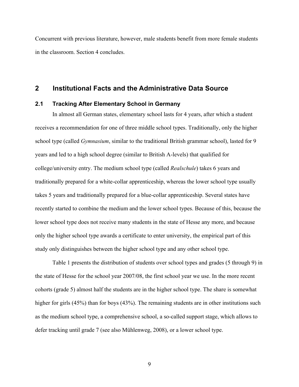Concurrent with previous literature, however, male students benefit from more female students in the classroom. Section 4 concludes.

### **2 Institutional Facts and the Administrative Data Source**

#### **2.1 Tracking After Elementary School in Germany**

In almost all German states, elementary school lasts for 4 years, after which a student receives a recommendation for one of three middle school types. Traditionally, only the higher school type (called *Gymnasium*, similar to the traditional British grammar school), lasted for 9 years and led to a high school degree (similar to British A-levels) that qualified for college/university entry. The medium school type (called *Realschule*) takes 6 years and traditionally prepared for a white-collar apprenticeship, whereas the lower school type usually takes 5 years and traditionally prepared for a blue-collar apprenticeship. Several states have recently started to combine the medium and the lower school types. Because of this, because the lower school type does not receive many students in the state of Hesse any more, and because only the higher school type awards a certificate to enter university, the empirical part of this study only distinguishes between the higher school type and any other school type.

Table 1 presents the distribution of students over school types and grades (5 through 9) in the state of Hesse for the school year 2007/08, the first school year we use. In the more recent cohorts (grade 5) almost half the students are in the higher school type. The share is somewhat higher for girls (45%) than for boys (43%). The remaining students are in other institutions such as the medium school type, a comprehensive school, a so-called support stage, which allows to defer tracking until grade 7 (see also Mühlenweg, 2008), or a lower school type.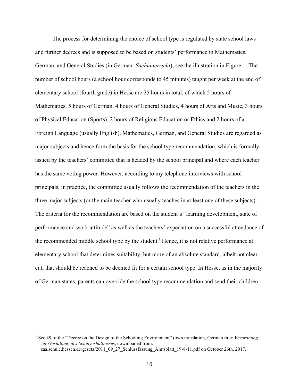The process for determining the choice of school type is regulated by state school laws and further decrees and is supposed to be based on students' performance in Mathematics, German, and General Studies (in German: *Sachunterricht*); see the illustration in Figure 1. The number of school hours (a school hour corresponds to 45 minutes) taught per week at the end of elementary school (fourth grade) in Hesse are 25 hours in total, of which 5 hours of Mathematics, 5 hours of German, 4 hours of General Studies, 4 hours of Arts and Music, 3 hours of Physical Education (Sports), 2 hours of Religious Education or Ethics and 2 hours of a Foreign Language (usually English). Mathematics, German, and General Studies are regarded as major subjects and hence form the basis for the school type recommendation, which is formally issued by the teachers' committee that is headed by the school principal and where each teacher has the same voting power. However, according to my telephone interviews with school principals, in practice, the committee usually follows the recommendation of the teachers in the three major subjects (or the main teacher who usually teaches in at least one of these subjects). The criteria for the recommendation are based on the student's "learning development, state of performance and work attitude" as well as the teachers' expectation on a successful attendance of the recommended middle school type by the student. <sup>3</sup> Hence, it is not relative performance at elementary school that determines suitability, but more of an absolute standard, albeit not clear cut, that should be reached to be deemed fit for a certain school type. In Hesse, as in the majority of German states, parents can override the school type recommendation and send their children

 <sup>3</sup> See §9 of the "Decree on the Design of the Schooling Environment" (own translation, German title: *Verordnung zur Gestaltung des Schulverhältnisses*, downloaded from: zaa.schule.hessen.de/gesetz/2011\_09\_27\_Schlussfassung\_Amtsblatt\_19-8-11.pdf on October 26th, 2017.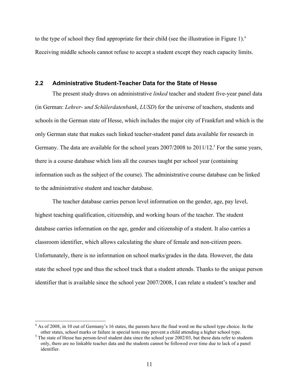to the type of school they find appropriate for their child (see the illustration in Figure 1). 4 Receiving middle schools cannot refuse to accept a student except they reach capacity limits.

#### **2.2 Administrative Student-Teacher Data for the State of Hesse**

The present study draws on administrative *linked* teacher and student five-year panel data (in German: *Lehrer- und Schülerdatenbank*, *LUSD*) for the universe of teachers, students and schools in the German state of Hesse, which includes the major city of Frankfurt and which is the only German state that makes such linked teacher-student panel data available for research in Germany. The data are available for the school years 2007/2008 to 2011/12.<sup>5</sup> For the same years, there is a course database which lists all the courses taught per school year (containing information such as the subject of the course). The administrative course database can be linked to the administrative student and teacher database.

The teacher database carries person level information on the gender, age, pay level, highest teaching qualification, citizenship, and working hours of the teacher. The student database carries information on the age, gender and citizenship of a student. It also carries a classroom identifier, which allows calculating the share of female and non-citizen peers. Unfortunately, there is no information on school marks/grades in the data. However, the data state the school type and thus the school track that a student attends. Thanks to the unique person identifier that is available since the school year 2007/2008, I can relate a student's teacher and

<sup>&</sup>lt;sup>4</sup> As of 2008, in 10 out of Germany's 16 states, the parents have the final word on the school type choice. In the other states, school marks or failure in special tests may prevent a child attending a higher school type. 5 The state of Hesse has person-level student data since the school year 2002/03, but these data refer to students

only, there are no linkable teacher data and the students cannot be followed over time due to lack of a panel identifier.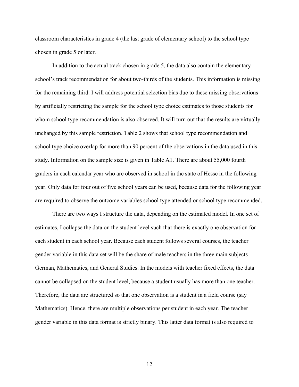classroom characteristics in grade 4 (the last grade of elementary school) to the school type chosen in grade 5 or later.

In addition to the actual track chosen in grade 5, the data also contain the elementary school's track recommendation for about two-thirds of the students. This information is missing for the remaining third. I will address potential selection bias due to these missing observations by artificially restricting the sample for the school type choice estimates to those students for whom school type recommendation is also observed. It will turn out that the results are virtually unchanged by this sample restriction. Table 2 shows that school type recommendation and school type choice overlap for more than 90 percent of the observations in the data used in this study. Information on the sample size is given in Table A1. There are about 55,000 fourth graders in each calendar year who are observed in school in the state of Hesse in the following year. Only data for four out of five school years can be used, because data for the following year are required to observe the outcome variables school type attended or school type recommended.

There are two ways I structure the data, depending on the estimated model. In one set of estimates, I collapse the data on the student level such that there is exactly one observation for each student in each school year. Because each student follows several courses, the teacher gender variable in this data set will be the share of male teachers in the three main subjects German, Mathematics, and General Studies. In the models with teacher fixed effects, the data cannot be collapsed on the student level, because a student usually has more than one teacher. Therefore, the data are structured so that one observation is a student in a field course (say Mathematics). Hence, there are multiple observations per student in each year. The teacher gender variable in this data format is strictly binary. This latter data format is also required to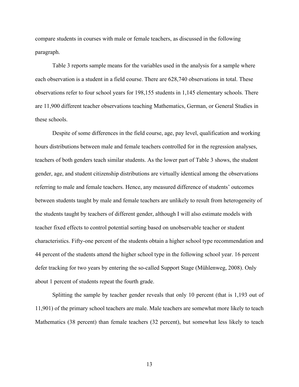compare students in courses with male or female teachers, as discussed in the following paragraph.

Table 3 reports sample means for the variables used in the analysis for a sample where each observation is a student in a field course. There are 628,740 observations in total. These observations refer to four school years for 198,155 students in 1,145 elementary schools. There are 11,900 different teacher observations teaching Mathematics, German, or General Studies in these schools.

Despite of some differences in the field course, age, pay level, qualification and working hours distributions between male and female teachers controlled for in the regression analyses, teachers of both genders teach similar students. As the lower part of Table 3 shows, the student gender, age, and student citizenship distributions are virtually identical among the observations referring to male and female teachers. Hence, any measured difference of students' outcomes between students taught by male and female teachers are unlikely to result from heterogeneity of the students taught by teachers of different gender, although I will also estimate models with teacher fixed effects to control potential sorting based on unobservable teacher or student characteristics. Fifty-one percent of the students obtain a higher school type recommendation and 44 percent of the students attend the higher school type in the following school year. 16 percent defer tracking for two years by entering the so-called Support Stage (Mühlenweg, 2008). Only about 1 percent of students repeat the fourth grade.

Splitting the sample by teacher gender reveals that only 10 percent (that is 1,193 out of 11,901) of the primary school teachers are male. Male teachers are somewhat more likely to teach Mathematics (38 percent) than female teachers (32 percent), but somewhat less likely to teach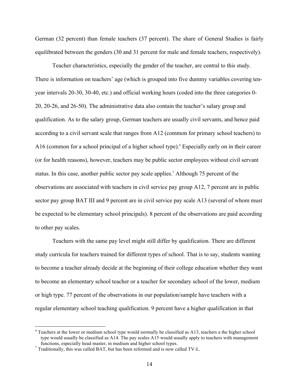German (32 percent) than female teachers (37 percent). The share of General Studies is fairly equilibrated between the genders (30 and 31 percent for male and female teachers, respectively).

Teacher characteristics, especially the gender of the teacher, are central to this study. There is information on teachers' age (which is grouped into five dummy variables covering tenyear intervals 20-30, 30-40, etc.) and official working hours (coded into the three categories 0- 20, 20-26, and 26-50). The administrative data also contain the teacher's salary group and qualification. As to the salary group, German teachers are usually civil servants, and hence paid according to a civil servant scale that ranges from A12 (common for primary school teachers) to A16 (common for a school principal of a higher school type). <sup>6</sup> Especially early on in their career (or for health reasons), however, teachers may be public sector employees without civil servant status. In this case, another public sector pay scale applies. <sup>7</sup> Although 75 percent of the observations are associated with teachers in civil service pay group A12, 7 percent are in public sector pay group BAT III and 9 percent are in civil service pay scale A13 (several of whom must be expected to be elementary school principals). 8 percent of the observations are paid according to other pay scales.

Teachers with the same pay level might still differ by qualification. There are different study curricula for teachers trained for different types of school. That is to say, students wanting to become a teacher already decide at the beginning of their college education whether they want to become an elementary school teacher or a teacher for secondary school of the lower, medium or high type. 77 percent of the observations in our population/sample have teachers with a regular elementary school teaching qualification. 9 percent have a higher qualification in that

 <sup>6</sup> Teachers at the lower or medium school type would normally be classified as A13, teachers a the higher school type would usually be classified as A14. The pay scales A15 would usually apply to teachers with management functions, especially head master, in medium and higher school types. <sup>7</sup> Traditionally, this was called BAT, but has been reformed and is now called TV-L.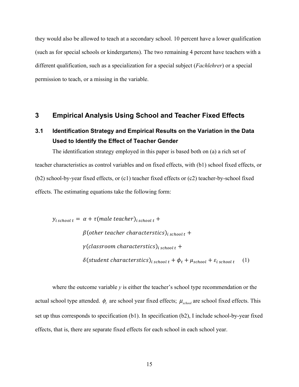they would also be allowed to teach at a secondary school. 10 percent have a lower qualification (such as for special schools or kindergartens). The two remaining 4 percent have teachers with a different qualification, such as a specialization for a special subject (*Fachlehrer*) or a special permission to teach, or a missing in the variable.

#### **3 Empirical Analysis Using School and Teacher Fixed Effects**

### **3.1 Identification Strategy and Empirical Results on the Variation in the Data Used to Identify the Effect of Teacher Gender**

The identification strategy employed in this paper is based both on (a) a rich set of teacher characteristics as control variables and on fixed effects, with (b1) school fixed effects, or (b2) school-by-year fixed effects, or (c1) teacher fixed effects or (c2) teacher-by-school fixed effects. The estimating equations take the following form:

 $y_{i \text{ school } t} = \alpha + \tau (male \text{ teacher})_{i \text{ school } t} +$  $\beta$ (other teacher characterstics)<sub>i school t</sub> +  $\gamma$ (classroom characterstics)<sub>i school t</sub> +  $\delta$ (student characterstics)<sub>i school t</sub> +  $\phi_t$  +  $\mu_{\text{school}}$  +  $\varepsilon_{\text{i school t}}$  (1)

where the outcome variable *y* is either the teacher's school type recommendation or the actual school type attended.  $\phi_t$  are school year fixed effects;  $\mu_{\text{should}}$  are school fixed effects. This set up thus corresponds to specification (b1). In specification (b2), I include school-by-year fixed effects, that is, there are separate fixed effects for each school in each school year.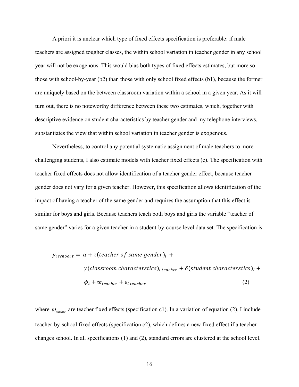A priori it is unclear which type of fixed effects specification is preferable: if male teachers are assigned tougher classes, the within school variation in teacher gender in any school year will not be exogenous. This would bias both types of fixed effects estimates, but more so those with school-by-year (b2) than those with only school fixed effects (b1), because the former are uniquely based on the between classroom variation within a school in a given year. As it will turn out, there is no noteworthy difference between these two estimates, which, together with descriptive evidence on student characteristics by teacher gender and my telephone interviews, substantiates the view that within school variation in teacher gender is exogenous.

Nevertheless, to control any potential systematic assignment of male teachers to more challenging students, I also estimate models with teacher fixed effects (c). The specification with teacher fixed effects does not allow identification of a teacher gender effect, because teacher gender does not vary for a given teacher. However, this specification allows identification of the impact of having a teacher of the same gender and requires the assumption that this effect is similar for boys and girls. Because teachers teach both boys and girls the variable "teacher of same gender" varies for a given teacher in a student-by-course level data set. The specification is

$$
y_{i\, school\, t} = \alpha + \tau (teacher\, of\, same\, gender)_i +
$$
\n
$$
\gamma (classification\, characteristics)_{i\, teacher} + \delta (student\, characteristics)_{i} +
$$
\n
$$
\phi_t + \varpi_{teacher} + \varepsilon_{i\, teacher}
$$
\n(2)

where  $\omega_{\text{teacher}}$  are teacher fixed effects (specification c1). In a variation of equation (2), I include teacher-by-school fixed effects (specification c2), which defines a new fixed effect if a teacher changes school. In all specifications (1) and (2), standard errors are clustered at the school level.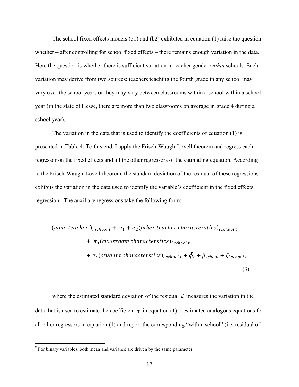The school fixed effects models (b1) and (b2) exhibited in equation (1) raise the question whether – after controlling for school fixed effects – there remains enough variation in the data. Here the question is whether there is sufficient variation in teacher gender *within* schools. Such variation may derive from two sources: teachers teaching the fourth grade in any school may vary over the school years or they may vary between classrooms within a school within a school year (in the state of Hesse, there are more than two classrooms on average in grade 4 during a school year).

The variation in the data that is used to identify the coefficients of equation (1) is presented in Table 4. To this end, I apply the Frisch-Waugh-Lovell theorem and regress each regressor on the fixed effects and all the other regressors of the estimating equation. According to the Frisch-Waugh-Lovell theorem, the standard deviation of the residual of these regressions exhibits the variation in the data used to identify the variable's coefficient in the fixed effects regression.<sup>8</sup> The auxiliary regressions take the following form:

(male teacher)<sub>i school t</sub> + 
$$
\pi_1
$$
 +  $\pi_2$ (other teacher characteristics)<sub>i school t</sub>  
+  $\pi_3$ (classroom characteristics)<sub>i school t</sub>  
+  $\pi_4$ (student characteristics)<sub>i school t</sub> +  $\tilde{\phi}_t$  +  $\tilde{\mu}_{school}$  +  $\xi_{i school t}$  (3)

where the estimated standard deviation of the residual  $\xi$  measures the variation in the data that is used to estimate the coefficient  $\tau$  in equation (1). I estimated analogous equations for all other regressors in equation (1) and report the corresponding "within school" (i.e. residual of

<sup>&</sup>lt;sup>8</sup> For binary variables, both mean and variance are driven by the same parameter.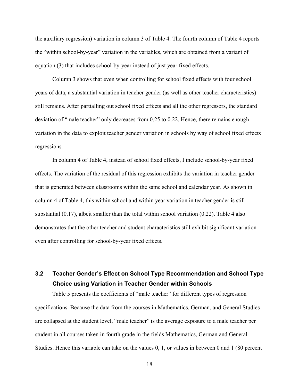the auxiliary regression) variation in column 3 of Table 4. The fourth column of Table 4 reports the "within school-by-year" variation in the variables, which are obtained from a variant of equation (3) that includes school-by-year instead of just year fixed effects.

Column 3 shows that even when controlling for school fixed effects with four school years of data, a substantial variation in teacher gender (as well as other teacher characteristics) still remains. After partialling out school fixed effects and all the other regressors, the standard deviation of "male teacher" only decreases from 0.25 to 0.22. Hence, there remains enough variation in the data to exploit teacher gender variation in schools by way of school fixed effects regressions.

In column 4 of Table 4, instead of school fixed effects, I include school-by-year fixed effects. The variation of the residual of this regression exhibits the variation in teacher gender that is generated between classrooms within the same school and calendar year. As shown in column 4 of Table 4, this within school and within year variation in teacher gender is still substantial  $(0.17)$ , albeit smaller than the total within school variation  $(0.22)$ . Table 4 also demonstrates that the other teacher and student characteristics still exhibit significant variation even after controlling for school-by-year fixed effects.

## **3.2 Teacher Gender's Effect on School Type Recommendation and School Type Choice using Variation in Teacher Gender within Schools**

Table 5 presents the coefficients of "male teacher" for different types of regression specifications. Because the data from the courses in Mathematics, German, and General Studies are collapsed at the student level, "male teacher" is the average exposure to a male teacher per student in all courses taken in fourth grade in the fields Mathematics, German and General Studies. Hence this variable can take on the values 0, 1, or values in between 0 and 1 (80 percent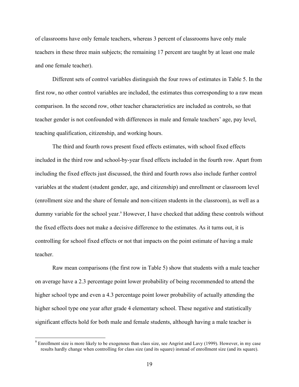of classrooms have only female teachers, whereas 3 percent of classrooms have only male teachers in these three main subjects; the remaining 17 percent are taught by at least one male and one female teacher).

Different sets of control variables distinguish the four rows of estimates in Table 5. In the first row, no other control variables are included, the estimates thus corresponding to a raw mean comparison. In the second row, other teacher characteristics are included as controls, so that teacher gender is not confounded with differences in male and female teachers' age, pay level, teaching qualification, citizenship, and working hours.

The third and fourth rows present fixed effects estimates, with school fixed effects included in the third row and school-by-year fixed effects included in the fourth row. Apart from including the fixed effects just discussed, the third and fourth rows also include further control variables at the student (student gender, age, and citizenship) and enrollment or classroom level (enrollment size and the share of female and non-citizen students in the classroom), as well as a dummy variable for the school year. <sup>9</sup> However, I have checked that adding these controls without the fixed effects does not make a decisive difference to the estimates. As it turns out, it is controlling for school fixed effects or not that impacts on the point estimate of having a male teacher.

Raw mean comparisons (the first row in Table 5) show that students with a male teacher on average have a 2.3 percentage point lower probability of being recommended to attend the higher school type and even a 4.3 percentage point lower probability of actually attending the higher school type one year after grade 4 elementary school. These negative and statistically significant effects hold for both male and female students, although having a male teacher is

 $9$  Enrollment size is more likely to be exogenous than class size, see Angrist and Lavy (1999). However, in my case results hardly change when controlling for class size (and its square) instead of enrollment size (and its square).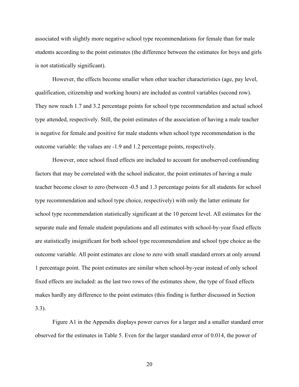associated with slightly more negative school type recommendations for female than for male students according to the point estimates (the difference between the estimates for boys and girls is not statistically significant).

However, the effects become smaller when other teacher characteristics (age, pay level, qualification, citizenship and working hours) are included as control variables (second row). They now reach 1.7 and 3.2 percentage points for school type recommendation and actual school type attended, respectively. Still, the point estimates of the association of having a male teacher is negative for female and positive for male students when school type recommendation is the outcome variable: the values are -1.9 and 1.2 percentage points, respectively.

However, once school fixed effects are included to account for unobserved confounding factors that may be correlated with the school indicator, the point estimates of having a male teacher become closer to zero (between -0.5 and 1.3 percentage points for all students for school type recommendation and school type choice, respectively) with only the latter estimate for school type recommendation statistically significant at the 10 percent level. All estimates for the separate male and female student populations and all estimates with school-by-year fixed effects are statistically insignificant for both school type recommendation and school type choice as the outcome variable. All point estimates are close to zero with small standard errors at only around 1 percentage point. The point estimates are similar when school-by-year instead of only school fixed effects are included: as the last two rows of the estimates show, the type of fixed effects makes hardly any difference to the point estimates (this finding is further discussed in Section 3.3).

Figure A1 in the Appendix displays power curves for a larger and a smaller standard error observed for the estimates in Table 5. Even for the larger standard error of 0.014, the power of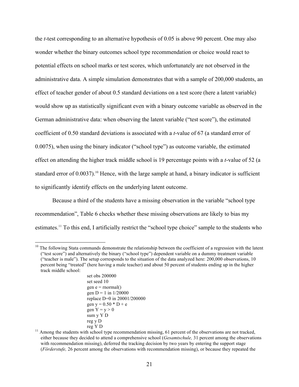the *t*-test corresponding to an alternative hypothesis of 0.05 is above 90 percent. One may also wonder whether the binary outcomes school type recommendation or choice would react to potential effects on school marks or test scores, which unfortunately are not observed in the administrative data. A simple simulation demonstrates that with a sample of 200,000 students, an effect of teacher gender of about 0.5 standard deviations on a test score (here a latent variable) would show up as statistically significant even with a binary outcome variable as observed in the German administrative data: when observing the latent variable ("test score"), the estimated coefficient of 0.50 standard deviations is associated with a *t*-value of 67 (a standard error of 0.0075), when using the binary indicator ("school type") as outcome variable, the estimated effect on attending the higher track middle school is 19 percentage points with a *t*-value of 52 (a standard error of 0.0037).<sup>10</sup> Hence, with the large sample at hand, a binary indicator is sufficient to significantly identify effects on the underlying latent outcome.

Because a third of the students have a missing observation in the variable "school type recommendation", Table 6 checks whether these missing observations are likely to bias my estimates.11 To this end, I artificially restrict the "school type choice" sample to the students who

 $10$  The following Stata commands demonstrate the relationship between the coefficient of a regression with the latent ("test score") and alternatively the binary ("school type") dependent variable on a dummy treatment variable ("teacher is male"). The setup corresponds to the situation of the data analyzed here: 200,000 observations, 10 percent being "treated" (here having a male teacher) and about 50 percent of students ending up in the higher track middle school:

set obs 200000 set seed 10 gen  $e =$  rnormal() gen  $D = 1$  in  $1/20000$ replace D=0 in 20001/200000 gen  $y = 0.50 * D + e$ gen  $Y = y > 0$ sum y Y D reg y D

reg Y D  $_{11}$  Among the students with school type recommendation missing, 61 percent of the observations are not tracked, either because they decided to attend a comprehensive school (*Gesamtschule,* 31 percent among the observations with recommendation missing), deferred the tracking decision by two years by entering the support stage (*Förderstufe,* 26 percent among the observations with recommendation missing), or because they repeated the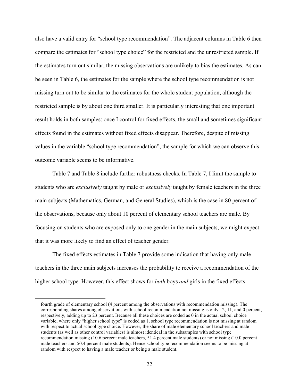also have a valid entry for "school type recommendation". The adjacent columns in Table 6 then compare the estimates for "school type choice" for the restricted and the unrestricted sample. If the estimates turn out similar, the missing observations are unlikely to bias the estimates. As can be seen in Table 6, the estimates for the sample where the school type recommendation is not missing turn out to be similar to the estimates for the whole student population, although the restricted sample is by about one third smaller. It is particularly interesting that one important result holds in both samples: once I control for fixed effects, the small and sometimes significant effects found in the estimates without fixed effects disappear. Therefore, despite of missing values in the variable "school type recommendation", the sample for which we can observe this outcome variable seems to be informative.

Table 7 and Table 8 include further robustness checks. In Table 7, I limit the sample to students who are *exclusively* taught by male or *exclusively* taught by female teachers in the three main subjects (Mathematics, German, and General Studies), which is the case in 80 percent of the observations, because only about 10 percent of elementary school teachers are male. By focusing on students who are exposed only to one gender in the main subjects, we might expect that it was more likely to find an effect of teacher gender.

The fixed effects estimates in Table 7 provide some indication that having only male teachers in the three main subjects increases the probability to receive a recommendation of the higher school type. However, this effect shows for *both* boys *and* girls in the fixed effects

 $\overline{a}$ 

fourth grade of elementary school (4 percent among the observations with recommendation missing). The corresponding shares among observations with school recommendation not missing is only 12, 11, and 0 percent, respectively, adding up to 23 percent. Because all these choices are coded as 0 in the actual school choice variable, where only "higher school type" is coded as 1, school type recommendation is not missing at random with respect to actual school type choice. However, the share of male elementary school teachers and male students (as well as other control variables) is almost identical in the subsamples with school type recommendation missing (10.6 percent male teachers, 51.4 percent male students) or not missing (10.0 percent male teachers and 50.4 percent male students). Hence school type recommendation seems to be missing at random with respect to having a male teacher or being a male student.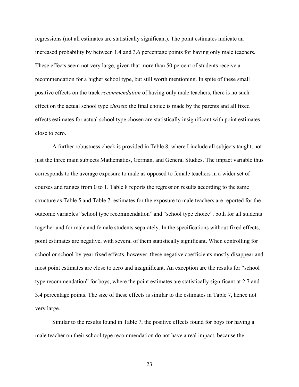regressions (not all estimates are statistically significant). The point estimates indicate an increased probability by between 1.4 and 3.6 percentage points for having only male teachers. These effects seem not very large, given that more than 50 percent of students receive a recommendation for a higher school type, but still worth mentioning. In spite of these small positive effects on the track *recommendation* of having only male teachers, there is no such effect on the actual school type *chosen*: the final choice is made by the parents and all fixed effects estimates for actual school type chosen are statistically insignificant with point estimates close to zero.

A further robustness check is provided in Table 8, where I include all subjects taught, not just the three main subjects Mathematics, German, and General Studies. The impact variable thus corresponds to the average exposure to male as opposed to female teachers in a wider set of courses and ranges from 0 to 1. Table 8 reports the regression results according to the same structure as Table 5 and Table 7: estimates for the exposure to male teachers are reported for the outcome variables "school type recommendation" and "school type choice", both for all students together and for male and female students separately. In the specifications without fixed effects, point estimates are negative, with several of them statistically significant. When controlling for school or school-by-year fixed effects, however, these negative coefficients mostly disappear and most point estimates are close to zero and insignificant. An exception are the results for "school type recommendation" for boys, where the point estimates are statistically significant at 2.7 and 3.4 percentage points. The size of these effects is similar to the estimates in Table 7, hence not very large.

Similar to the results found in Table 7, the positive effects found for boys for having a male teacher on their school type recommendation do not have a real impact, because the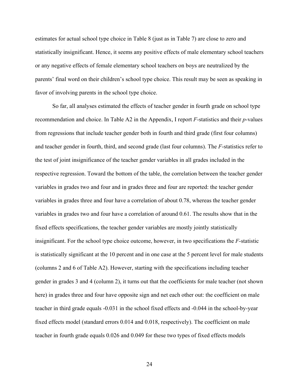estimates for actual school type choice in Table 8 (just as in Table 7) are close to zero and statistically insignificant. Hence, it seems any positive effects of male elementary school teachers or any negative effects of female elementary school teachers on boys are neutralized by the parents' final word on their children's school type choice. This result may be seen as speaking in favor of involving parents in the school type choice.

So far, all analyses estimated the effects of teacher gender in fourth grade on school type recommendation and choice. In Table A2 in the Appendix, I report *F*-statistics and their *p*-values from regressions that include teacher gender both in fourth and third grade (first four columns) and teacher gender in fourth, third, and second grade (last four columns). The *F*-statistics refer to the test of joint insignificance of the teacher gender variables in all grades included in the respective regression. Toward the bottom of the table, the correlation between the teacher gender variables in grades two and four and in grades three and four are reported: the teacher gender variables in grades three and four have a correlation of about 0.78, whereas the teacher gender variables in grades two and four have a correlation of around 0.61. The results show that in the fixed effects specifications, the teacher gender variables are mostly jointly statistically insignificant. For the school type choice outcome, however, in two specifications the *F*-statistic is statistically significant at the 10 percent and in one case at the 5 percent level for male students (columns 2 and 6 of Table A2). However, starting with the specifications including teacher gender in grades 3 and 4 (column 2), it turns out that the coefficients for male teacher (not shown here) in grades three and four have opposite sign and net each other out: the coefficient on male teacher in third grade equals -0.031 in the school fixed effects and -0.044 in the school-by-year fixed effects model (standard errors 0.014 and 0.018, respectively). The coefficient on male teacher in fourth grade equals 0.026 and 0.049 for these two types of fixed effects models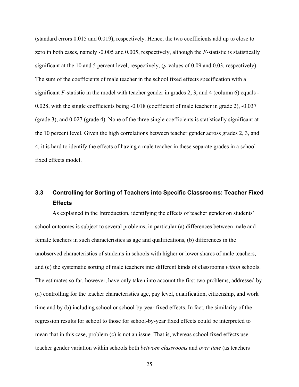(standard errors 0.015 and 0.019), respectively. Hence, the two coefficients add up to close to zero in both cases, namely -0.005 and 0.005, respectively, although the *F*-statistic is statistically significant at the 10 and 5 percent level, respectively, (*p*-values of 0.09 and 0.03, respectively). The sum of the coefficients of male teacher in the school fixed effects specification with a significant  $F$ -statistic in the model with teacher gender in grades 2, 3, and 4 (column 6) equals -0.028, with the single coefficients being -0.018 (coefficient of male teacher in grade 2), -0.037 (grade 3), and 0.027 (grade 4). None of the three single coefficients is statistically significant at the 10 percent level. Given the high correlations between teacher gender across grades 2, 3, and 4, it is hard to identify the effects of having a male teacher in these separate grades in a school fixed effects model.

## **3.3 Controlling for Sorting of Teachers into Specific Classrooms: Teacher Fixed Effects**

As explained in the Introduction, identifying the effects of teacher gender on students' school outcomes is subject to several problems, in particular (a) differences between male and female teachers in such characteristics as age and qualifications, (b) differences in the unobserved characteristics of students in schools with higher or lower shares of male teachers, and (c) the systematic sorting of male teachers into different kinds of classrooms *within* schools. The estimates so far, however, have only taken into account the first two problems, addressed by (a) controlling for the teacher characteristics age, pay level, qualification, citizenship, and work time and by (b) including school or school-by-year fixed effects. In fact, the similarity of the regression results for school to those for school-by-year fixed effects could be interpreted to mean that in this case, problem (c) is not an issue. That is, whereas school fixed effects use teacher gender variation within schools both *between classrooms* and *over time* (as teachers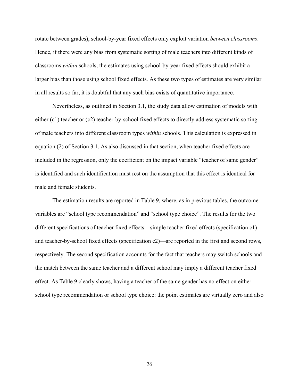rotate between grades), school-by-year fixed effects only exploit variation *between classrooms*. Hence, if there were any bias from systematic sorting of male teachers into different kinds of classrooms *within* schools, the estimates using school-by-year fixed effects should exhibit a larger bias than those using school fixed effects. As these two types of estimates are very similar in all results so far, it is doubtful that any such bias exists of quantitative importance.

Nevertheless, as outlined in Section 3.1, the study data allow estimation of models with either (c1) teacher or (c2) teacher-by-school fixed effects to directly address systematic sorting of male teachers into different classroom types *within* schools. This calculation is expressed in equation (2) of Section 3.1. As also discussed in that section, when teacher fixed effects are included in the regression, only the coefficient on the impact variable "teacher of same gender" is identified and such identification must rest on the assumption that this effect is identical for male and female students.

The estimation results are reported in Table 9, where, as in previous tables, the outcome variables are "school type recommendation" and "school type choice". The results for the two different specifications of teacher fixed effects—simple teacher fixed effects (specification c1) and teacher-by-school fixed effects (specification c2)—are reported in the first and second rows, respectively. The second specification accounts for the fact that teachers may switch schools and the match between the same teacher and a different school may imply a different teacher fixed effect. As Table 9 clearly shows, having a teacher of the same gender has no effect on either school type recommendation or school type choice: the point estimates are virtually zero and also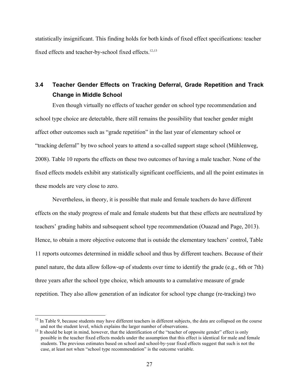statistically insignificant. This finding holds for both kinds of fixed effect specifications: teacher fixed effects and teacher-by-school fixed effects.<sup>12,13</sup>

## **3.4 Teacher Gender Effects on Tracking Deferral, Grade Repetition and Track Change in Middle School**

Even though virtually no effects of teacher gender on school type recommendation and school type choice are detectable, there still remains the possibility that teacher gender might affect other outcomes such as "grade repetition" in the last year of elementary school or "tracking deferral" by two school years to attend a so-called support stage school (Mühlenweg, 2008). Table 10 reports the effects on these two outcomes of having a male teacher. None of the fixed effects models exhibit any statistically significant coefficients, and all the point estimates in these models are very close to zero.

Nevertheless, in theory, it is possible that male and female teachers do have different effects on the study progress of male and female students but that these effects are neutralized by teachers' grading habits and subsequent school type recommendation (Ouazad and Page, 2013). Hence, to obtain a more objective outcome that is outside the elementary teachers' control, Table 11 reports outcomes determined in middle school and thus by different teachers. Because of their panel nature, the data allow follow-up of students over time to identify the grade (e.g., 6th or 7th) three years after the school type choice, which amounts to a cumulative measure of grade repetition. They also allow generation of an indicator for school type change (re-tracking) two

 $12$  In Table 9, because students may have different teachers in different subjects, the data are collapsed on the course and not the student level, which explains the larger number of observations.

 $13$  It should be kept in mind, however, that the identification of the "teacher of opposite gender" effect is only possible in the teacher fixed effects models under the assumption that this effect is identical for male and female students. The previous estimates based on school and school-by-year fixed effects suggest that such is not the case, at least not when "school type recommendation" is the outcome variable.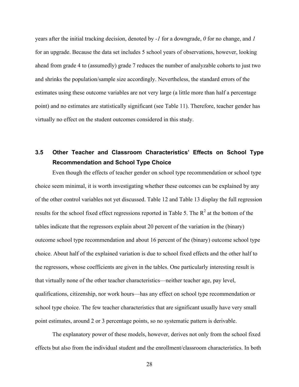years after the initial tracking decision, denoted by *-1* for a downgrade, *0* for no change, and *1* for an upgrade. Because the data set includes 5 school years of observations, however, looking ahead from grade 4 to (assumedly) grade 7 reduces the number of analyzable cohorts to just two and shrinks the population/sample size accordingly. Nevertheless, the standard errors of the estimates using these outcome variables are not very large (a little more than half a percentage point) and no estimates are statistically significant (see Table 11). Therefore, teacher gender has virtually no effect on the student outcomes considered in this study.

## **3.5 Other Teacher and Classroom Characteristics' Effects on School Type Recommendation and School Type Choice**

Even though the effects of teacher gender on school type recommendation or school type choice seem minimal, it is worth investigating whether these outcomes can be explained by any of the other control variables not yet discussed. Table 12 and Table 13 display the full regression results for the school fixed effect regressions reported in Table 5. The  $R^2$  at the bottom of the tables indicate that the regressors explain about 20 percent of the variation in the (binary) outcome school type recommendation and about 16 percent of the (binary) outcome school type choice. About half of the explained variation is due to school fixed effects and the other half to the regressors, whose coefficients are given in the tables. One particularly interesting result is that virtually none of the other teacher characteristics—neither teacher age, pay level, qualifications, citizenship, nor work hours—has any effect on school type recommendation or school type choice. The few teacher characteristics that are significant usually have very small point estimates, around 2 or 3 percentage points, so no systematic pattern is derivable.

The explanatory power of these models, however, derives not only from the school fixed effects but also from the individual student and the enrollment/classroom characteristics. In both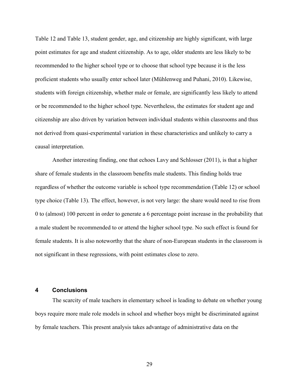Table 12 and Table 13, student gender, age, and citizenship are highly significant, with large point estimates for age and student citizenship. As to age, older students are less likely to be recommended to the higher school type or to choose that school type because it is the less proficient students who usually enter school later (Mühlenweg and Puhani, 2010). Likewise, students with foreign citizenship, whether male or female, are significantly less likely to attend or be recommended to the higher school type. Nevertheless, the estimates for student age and citizenship are also driven by variation between individual students within classrooms and thus not derived from quasi-experimental variation in these characteristics and unlikely to carry a causal interpretation.

Another interesting finding, one that echoes Lavy and Schlosser (2011), is that a higher share of female students in the classroom benefits male students. This finding holds true regardless of whether the outcome variable is school type recommendation (Table 12) or school type choice (Table 13). The effect, however, is not very large: the share would need to rise from 0 to (almost) 100 percent in order to generate a 6 percentage point increase in the probability that a male student be recommended to or attend the higher school type. No such effect is found for female students. It is also noteworthy that the share of non-European students in the classroom is not significant in these regressions, with point estimates close to zero.

#### **4 Conclusions**

The scarcity of male teachers in elementary school is leading to debate on whether young boys require more male role models in school and whether boys might be discriminated against by female teachers. This present analysis takes advantage of administrative data on the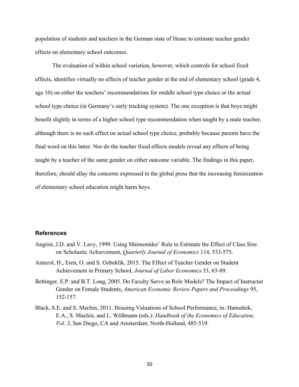population of students and teachers in the German state of Hesse to estimate teacher gender effects on elementary school outcomes.

The evaluation of within school variation, however, which controls for school fixed effects, identifies virtually no effects of teacher gender at the end of elementary school (grade 4, age 10) on either the teachers' recommendations for middle school type choice or the actual school type choice (in Germany's early tracking system). The one exception is that boys might benefit slightly in terms of a higher school type recommendation when taught by a male teacher, although there is no such effect on actual school type choice, probably because parents have the final word on this latter. Nor do the teacher fixed effects models reveal any effects of being taught by a teacher of the same gender on either outcome variable. The findings in this paper, therefore, should allay the concerns expressed in the global press that the increasing feminization of elementary school education might harm boys.

#### **References**

- Angrist, J.D. and V. Lavy, 1999. Using Maimonides' Rule to Estimate the Effect of Class Size on Scholastic Achievement, *Quarterly Journal of Economics* 114, 533-575.
- Antecol, H., Eren, O. and S. Ozbeklik, 2015. The Effect of Teacher Gender on Student Achievement in Primary School, *Journal of Labor Economics* 33, 63-89.
- Bettinger, E.P. and B.T. Long, 2005. Do Faculty Serve as Role Models? The Impact of Instructor Gender on Female Students, *American Economic Review Papers and Proceedings* 95, 152-157.
- Black, S.E. and S. Machin, 2011. Housing Valuations of School Performance, in: Hanushek, E.A., S. Machin, and L. Wößmann (eds.): *Handbook of the Economics of Education, Vol. 3*, San Diego, CA and Amsterdam: North-Holland, 485-519.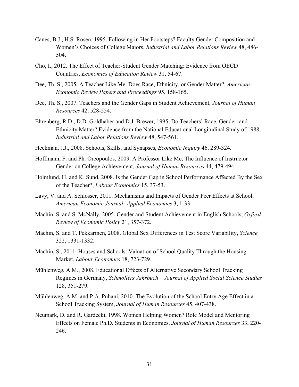- Canes, B.J., H.S. Rosen, 1995. Following in Her Footsteps? Faculty Gender Composition and Women's Choices of College Majors, *Industrial and Labor Relations Review* 48, 486- 504.
- Cho, I., 2012. The Effect of Teacher-Student Gender Matching: Evidence from OECD Countries, *Economics of Education Review* 31, 54-67.
- Dee, Th. S., 2005. A Teacher Like Me: Does Race, Ethnicity, or Gender Matter?, *American Economic Review Papers and Proceedings* 95, 158-165.
- Dee, Th. S., 2007. Teachers and the Gender Gaps in Student Achievement, *Journal of Human Resources* 42, 528-554.
- Ehrenberg, R.D., D.D. Goldhaber and D.J. Brewer, 1995. Do Teachers' Race, Gender, and Ethnicity Matter? Evidence from the National Educational Longitudinal Study of 1988, *Industrial and Labor Relations Review* 48, 547-561.
- Heckman, J.J., 2008. Schools, Skills, and Synapses, *Economic Inquiry* 46, 289-324.
- Hoffmann, F. and Ph. Oreopoulos, 2009. A Professor Like Me, The Influence of Instructor Gender on College Achievement, *Journal of Human Resources* 44, 479-494.
- Holmlund, H. and K. Sund, 2008. Is the Gender Gap in School Performance Affected By the Sex of the Teacher?, *Labour Economics* 15, 37-53.
- Lavy, V. and A. Schlosser, 2011. Mechanisms and Impacts of Gender Peer Effects at School, *American Economic Journal: Applied Economics* 3, 1-33.
- Machin, S. and S. McNally, 2005. Gender and Student Achievement in English Schools, *Oxford Review of Economic Policy* 21, 357-372.
- Machin, S. and T. Pekkarinen, 2008. Global Sex Differences in Test Score Variability, *Science* 322, 1331-1332.
- Machin, S., 2011. Houses and Schools: Valuation of School Quality Through the Housing Market, *Labour Economics* 18, 723-729.
- Mühlenweg, A.M., 2008. Educational Effects of Alternative Secondary School Tracking Regimes in Germany, *Schmollers Jahrbuch – Journal of Applied Social Science Studies* 128, 351-279.
- Mühlenweg, A.M. and P.A. Puhani, 2010. The Evolution of the School Entry Age Effect in a School Tracking System, *Journal of Human Resources* 45, 407-438.
- Neumark, D. and R. Gardecki, 1998. Women Helping Women? Role Model and Mentoring Effects on Female Ph.D. Students in Economics, *Journal of Human Resources* 33, 220- 246.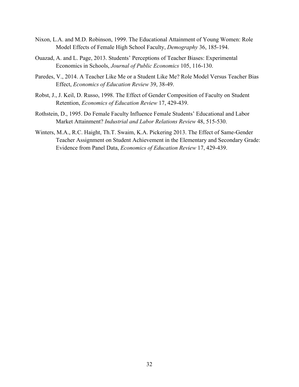- Nixon, L.A. and M.D. Robinson, 1999. The Educational Attainment of Young Women: Role Model Effects of Female High School Faculty, *Demography* 36, 185-194.
- Ouazad, A. and L. Page, 2013. Students' Perceptions of Teacher Biases: Experimental Economics in Schools, *Journal of Public Economics* 105, 116-130.
- Paredes, V., 2014. A Teacher Like Me or a Student Like Me? Role Model Versus Teacher Bias Effect, *Economics of Education Review* 39, 38-49.
- Robst, J., J. Keil, D. Russo, 1998. The Effect of Gender Composition of Faculty on Student Retention, *Economics of Education Review* 17, 429-439.
- Rothstein, D., 1995. Do Female Faculty Influence Female Students' Educational and Labor Market Attainment? *Industrial and Labor Relations Review* 48, 515-530.
- Winters, M.A., R.C. Haight, Th.T. Swaim, K.A. Pickering 2013. The Effect of Same-Gender Teacher Assignment on Student Achievement in the Elementary and Secondary Grade: Evidence from Panel Data, *Economics of Education Review* 17, 429-439.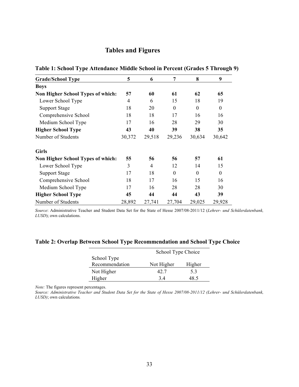### **Tables and Figures**

| <b>Grade/School Type</b>                 | 5      | 6              | 7                | 8        | 9        |
|------------------------------------------|--------|----------------|------------------|----------|----------|
| <b>Boys</b>                              |        |                |                  |          |          |
| <b>Non Higher School Types of which:</b> | 57     | 60             | 61               | 62       | 65       |
| Lower School Type                        | 4      | 6              | 15               | 18       | 19       |
| <b>Support Stage</b>                     | 18     | 20             | $\boldsymbol{0}$ | $\theta$ | $\theta$ |
| Comprehensive School                     | 18     | 18             | 17               | 16       | 16       |
| Medium School Type                       | 17     | 16             | 28               | 29       | 30       |
| <b>Higher School Type</b>                | 43     | 40             | 39               | 38       | 35       |
| Number of Students                       | 30,372 | 29,518         | 29,236           | 30,634   | 30,642   |
| <b>Girls</b>                             |        |                |                  |          |          |
| Non Higher School Types of which:        | 55     | 56             | 56               | 57       | 61       |
| Lower School Type                        | 3      | $\overline{4}$ | 12               | 14       | 15       |
| <b>Support Stage</b>                     | 17     | 18             | $\theta$         | $\Omega$ | $\theta$ |
| Comprehensive School                     | 18     | 17             | 16               | 15       | 16       |
| Medium School Type                       | 17     | 16             | 28               | 28       | 30       |
| <b>Higher School Type</b>                | 45     | 44             | 44               | 43       | 39       |
| Number of Students                       | 28,892 | 27,741         | 27,704           | 29,025   | 29,928   |

**Table 1: School Type Attendance Middle School in Percent (Grades 5 Through 9)**

*Source*: Administrative Teacher and Student Data Set for the State of Hesse 2007/08-2011/12 (*Lehrer- und Schülerdatenbank, LUSD*); own calculations.

#### **Table 2: Overlap Between School Type Recommendation and School Type Choice**

|                | School Type Choice |        |  |  |  |
|----------------|--------------------|--------|--|--|--|
| School Type    |                    |        |  |  |  |
| Recommendation | Not Higher         | Higher |  |  |  |
| Not Higher     | 42 7               | 53     |  |  |  |
| Higher         | 34                 | 48 5   |  |  |  |

*Note:* The figures represent percentages.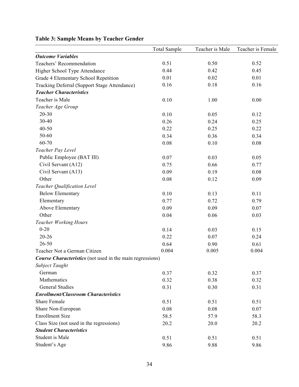|                                                                  | <b>Total Sample</b> | Teacher is Male | Teacher is Female |
|------------------------------------------------------------------|---------------------|-----------------|-------------------|
| <b>Outcome Variables</b>                                         |                     |                 |                   |
| Teachers' Recommendation                                         | 0.51                | 0.50            | 0.52              |
| Higher School Type Attendance                                    | 0.44                | 0.42            | 0.45              |
| Grade 4 Elementary School Repetition                             | 0.01                | 0.02            | 0.01              |
| Tracking Deferral (Support Stage Attendance)                     | 0.16                | 0.18            | 0.16              |
| <b>Teacher Characteristics</b>                                   |                     |                 |                   |
| Teacher is Male                                                  | 0.10                | 1.00            | 0.00              |
| Teacher Age Group                                                |                     |                 |                   |
| $20 - 30$                                                        | 0.10                | 0.05            | 0.12              |
| 30-40                                                            | 0.26                | 0.24            | 0.25              |
| $40 - 50$                                                        | 0.22                | 0.25            | 0.22              |
| 50-60                                                            | 0.34                | 0.36            | 0.34              |
| 60-70                                                            | 0.08                | 0.10            | 0.08              |
| Teacher Pay Level                                                |                     |                 |                   |
| Public Employee (BAT III)                                        | 0.07                | 0.03            | 0.05              |
| Civil Servant (A12)                                              | 0.75                | 0.66            | 0.77              |
| Civil Servant (A13)                                              | 0.09                | 0.19            | 0.08              |
| Other                                                            | 0.08                | 0.12            | 0.09              |
| Teacher Qualification Level                                      |                     |                 |                   |
| <b>Below Elementary</b>                                          | 0.10                | 0.13            | 0.11              |
| Elementary                                                       | 0.77                | 0.72            | 0.79              |
| Above Elementary                                                 | 0.09                | 0.09            | 0.07              |
| Other                                                            | 0.04                | 0.06            | 0.03              |
| <b>Teacher Working Hours</b>                                     |                     |                 |                   |
| $0 - 20$                                                         | 0.14                | 0.03            | 0.15              |
| $20 - 26$                                                        | 0.22                | 0.07            | 0.24              |
| $26 - 50$                                                        | 0.64                | 0.90            | 0.61              |
| Teacher Not a German Citizen                                     | 0.004               | 0.005           | 0.004             |
| <b>Course Characteristics</b> (not used in the main regressions) |                     |                 |                   |
| Subject Taught                                                   |                     |                 |                   |
| German                                                           | 0.37                | 0.32            | 0.37              |
| Mathematics                                                      | 0.32                | 0.38            | 0.32              |
| <b>General Studies</b>                                           | 0.31                | 0.30            | 0.31              |
| <b>Enrollment/Classroom Characteristics</b>                      |                     |                 |                   |
| <b>Share Female</b>                                              | 0.51                | 0.51            | 0.51              |
| Share Non-European                                               | 0.08                | 0.08            | 0.07              |
| <b>Enrollment Size</b>                                           | 58.5                | 57.9            | 58.3              |
| Class Size (not used in the regressions)                         | 20.2                | 20.0            | 20.2              |
| <b>Student Characteristics</b>                                   |                     |                 |                   |
| Student is Male                                                  | 0.51                | 0.51            | 0.51              |
| Student's Age                                                    | 9.86                | 9.88            | 9.86              |

## **Table 3: Sample Means by Teacher Gender**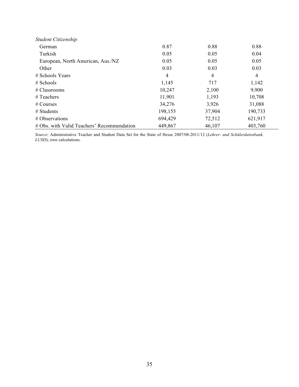| Student Citizenship                        |         |        |         |
|--------------------------------------------|---------|--------|---------|
| German                                     | 0.87    | 0.88   | 0.88    |
| Turkish                                    | 0.05    | 0.05   | 0.04    |
| European, North American, Aus./NZ          | 0.05    | 0.05   | 0.05    |
| Other                                      | 0.03    | 0.03   | 0.03    |
| # Schools Years                            | 4       | 4      | 4       |
| $#$ Schools                                | 1,145   | 717    | 1,142   |
| # Classrooms                               | 10,247  | 2,100  | 9,900   |
| # Teachers                                 | 11,901  | 1,193  | 10,708  |
| # Courses                                  | 34,276  | 3,926  | 31,088  |
| $#$ Students                               | 198,155 | 37,904 | 190,733 |
| # Observations                             | 694,429 | 72,512 | 621,917 |
| # Obs. with Valid Teachers' Recommendation | 449,867 | 46,107 | 403,760 |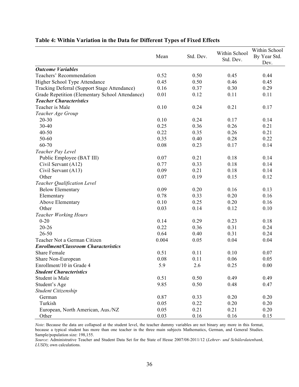|                                                 |       |           |               | Within School |
|-------------------------------------------------|-------|-----------|---------------|---------------|
|                                                 | Mean  | Std. Dev. | Within School | By Year Std.  |
|                                                 |       |           | Std. Dev.     | Dev.          |
| <b>Outcome Variables</b>                        |       |           |               |               |
| Teachers' Recommendation                        | 0.52  | 0.50      | 0.45          | 0.44          |
| Higher School Type Attendance                   | 0.45  | 0.50      | 0.46          | 0.45          |
| Tracking Deferral (Support Stage Attendance)    | 0.16  | 0.37      | 0.30          | 0.29          |
| Grade Repetition (Elementary School Attendance) | 0.01  | 0.12      | 0.11          | 0.11          |
| <b>Teacher Characteristics</b>                  |       |           |               |               |
| Teacher is Male                                 | 0.10  | 0.24      | 0.21          | 0.17          |
| Teacher Age Group                               |       |           |               |               |
| $20 - 30$                                       | 0.10  | 0.24      | 0.17          | 0.14          |
| 30-40                                           | 0.25  | 0.36      | 0.26          | 0.21          |
| $40 - 50$                                       | 0.22  | 0.35      | 0.26          | 0.21          |
| 50-60                                           | 0.35  | 0.40      | 0.28          | 0.22          |
| 60-70                                           | 0.08  | 0.23      | 0.17          | 0.14          |
| Teacher Pay Level                               |       |           |               |               |
| Public Employee (BAT III)                       | 0.07  | 0.21      | 0.18          | 0.14          |
| Civil Servant (A12)                             | 0.77  | 0.33      | 0.18          | 0.14          |
| Civil Servant (A13)                             | 0.09  | 0.21      | 0.18          | 0.14          |
| Other                                           | 0.07  | 0.19      | 0.15          | 0.12          |
| Teacher Qualification Level                     |       |           |               |               |
| <b>Below Elementary</b>                         | 0.09  | 0.20      | 0.16          | 0.13          |
| Elementary                                      | 0.78  | 0.33      | 0.20          | 0.16          |
| Above Elementary                                | 0.10  | 0.25      | 0.20          | 0.16          |
| Other                                           | 0.03  | 0.14      | 0.12          | 0.10          |
| <b>Teacher Working Hours</b>                    |       |           |               |               |
| $0 - 20$                                        | 0.14  | 0.29      | 0.23          | 0.18          |
| $20 - 26$                                       | 0.22  | 0.36      | 0.31          | 0.24          |
| $26 - 50$                                       | 0.64  | 0.40      | 0.31          | 0.24          |
| Teacher Not a German Citizen                    | 0.004 | 0.05      | 0.04          | 0.04          |
| <b>Enrollment/Classroom Characteristics</b>     |       |           |               |               |
| <b>Share Female</b>                             | 0.51  | 0.11      | 0.10          | 0.07          |
| Share Non-European                              | 0.08  | 0.11      | 0.06          | 0.05          |
| Enrollment/10 in Grade 4                        | 5.9   | 2.6       | 0.25          | 0.00          |
| <b>Student Characteristics</b>                  |       |           |               |               |
| Student is Male                                 | 0.51  | 0.50      | 0.49          | 0.49          |
| Student's Age                                   | 9.85  | 0.50      | 0.48          | 0.47          |
| Student Citizenship                             |       |           |               |               |
| German                                          | 0.87  | 0.33      | 0.20          | 0.20          |
| Turkish                                         | 0.05  | 0.22      | 0.20          | 0.20          |
| European, North American, Aus./NZ               | 0.05  | 0.21      | 0.21          | 0.20          |
| Other                                           | 0.03  | 0.16      | 0.16          | 0.15          |

#### **Table 4: Within Variation in the Data for Different Types of Fixed Effects**

*Note*: Because the data are collapsed at the student level, the teacher dummy variables are not binary any more in this format, because a typical student has more than one teacher in the three main subjects Mathematics, German, and General Studies. Sample/population size: 198,155.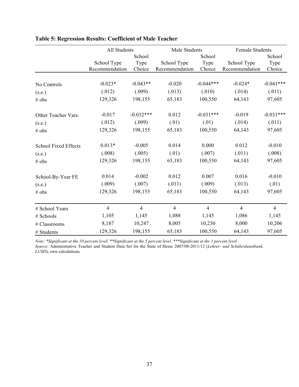|                             | All Students   |                |                | Male Students  |                | <b>Female Students</b> |  |
|-----------------------------|----------------|----------------|----------------|----------------|----------------|------------------------|--|
|                             |                | School         |                | School         |                | School                 |  |
|                             | School Type    | Type           | School Type    | Type           | School Type    | Type                   |  |
|                             | Recommendation | Choice         | Recommendation | Choice         | Recommendation | Choice                 |  |
| No Controls                 | $-0.023*$      | $-0.043**$     | $-0.020$       | $-0.044***$    | $-0.024*$      | $-0.041***$            |  |
|                             | (.012)         | (.009)         | (.013)         | (.010)         | (.014)         | (.011)                 |  |
| (s.e.)                      |                |                |                |                |                |                        |  |
| # obs                       | 129,326        | 198,155        | 65,183         | 100,550        | 64,143         | 97,605                 |  |
| Other Teacher Vars.         | $-0.017$       | $-0.032***$    | 0.012          | $-0.031***$    | $-0.019$       | $-0.031***$            |  |
| (s.e.)                      | (.012)         | (.009)         | (.01)          | (.01)          | (.014)         | (.011)                 |  |
| # obs                       | 129,326        | 198,155        | 65,183         | 100,550        | 64,143         | 97,605                 |  |
| <b>School Fixed Effects</b> | $0.013*$       | $-0.005$       | 0.014          | 0.000          | 0.012          | $-0.010$               |  |
| (s.e.)                      | (.008)         | (.005)         | (.01)          | (.007)         | (.011)         | (.008)                 |  |
| # obs                       | 129,326        | 198,155        | 65,183         | 100,550        | 64,143         | 97,605                 |  |
| School-By-Year FE           | 0.014          | $-0.002$       | 0.012          | 0.007          | 0.016          | $-0.010$               |  |
| (s.e.)                      | (.009)         | (.007)         | (.011)         | (.009)         | (.013)         | (.01)                  |  |
| # obs                       | 129,326        | 198,155        | 65,183         | 100,550        | 64,143         | 97,605                 |  |
| # School Years              | $\overline{4}$ | $\overline{4}$ | $\overline{4}$ | $\overline{4}$ | $\overline{4}$ | $\overline{4}$         |  |
| # Schools                   | 1,105          | 1,145          | 1,088          | 1,145          | 1,086          | 1,145                  |  |
| # Classrooms                | 8,187          | 10,247         | 8,005          | 10,230         | 8,000          | 10,206                 |  |
| # Students                  | 129,326        | 198,155        | 65,183         | 100,550        | 64,143         | 97,605                 |  |

## **Table 5: Regression Results: Coefficient of Male Teacher**

*Note: \*Significant at the 10 percent level. \*\*Significant at the 5 percent level. \*\*\*Significant at the 1 percent level. Source*: Administrative Teacher and Student Data Set for the State of Hesse 2007/08-2011/12 (*Lehrer- und Schülerdatenbank, LUSD*); own calculations.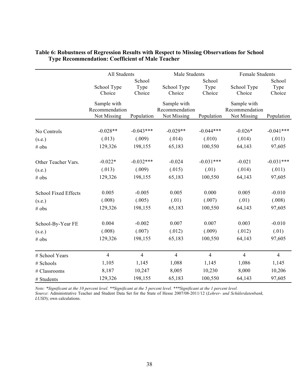|                             | All Students                                 |                          | Male Students                                |                          | <b>Female Students</b>                       |                          |
|-----------------------------|----------------------------------------------|--------------------------|----------------------------------------------|--------------------------|----------------------------------------------|--------------------------|
|                             | School Type<br>Choice                        | School<br>Type<br>Choice | School Type<br>Choice                        | School<br>Type<br>Choice | School Type<br>Choice                        | School<br>Type<br>Choice |
|                             | Sample with<br>Recommendation<br>Not Missing | Population               | Sample with<br>Recommendation<br>Not Missing | Population               | Sample with<br>Recommendation<br>Not Missing | Population               |
| No Controls                 | $-0.028**$                                   | $-0.043***$              | $-0.029**$                                   | $-0.044***$              | $-0.026*$                                    | $-0.041***$              |
| (s.e.)                      | (.013)                                       | (.009)                   | (.014)                                       | (.010)                   | (.014)                                       | (.011)                   |
| # obs                       | 129,326                                      | 198,155                  | 65,183                                       | 100,550                  | 64,143                                       | 97,605                   |
| Other Teacher Vars.         | $-0.022*$                                    | $-0.032***$              | $-0.024$                                     | $-0.031***$              | $-0.021$                                     | $-0.031***$              |
| (s.e.)                      | (.013)                                       | (.009)                   | (.015)                                       | (.01)                    | (.014)                                       | (.011)                   |
| # obs                       | 129,326                                      | 198,155                  | 65,183                                       | 100,550                  | 64,143                                       | 97,605                   |
| <b>School Fixed Effects</b> | 0.005                                        | $-0.005$                 | 0.005                                        | 0.000                    | 0.005                                        | $-0.010$                 |
| (s.e.)                      | (.008)                                       | (.005)                   | (.01)                                        | (.007)                   | (.01)                                        | (.008)                   |
| # obs                       | 129,326                                      | 198,155                  | 65,183                                       | 100,550                  | 64,143                                       | 97,605                   |
| School-By-Year FE           | 0.004                                        | $-0.002$                 | 0.007                                        | 0.007                    | 0.003                                        | $-0.010$                 |
| (s.e.)                      | (.008)                                       | (.007)                   | (.012)                                       | (.009)                   | (.012)                                       | (.01)                    |
| # obs                       | 129,326                                      | 198,155                  | 65,183                                       | 100,550                  | 64,143                                       | 97,605                   |
| # School Years              | $\overline{4}$                               | $\overline{4}$           | $\overline{4}$                               | $\overline{4}$           | $\overline{4}$                               | $\overline{4}$           |
| # Schools                   | 1,105                                        | 1,145                    | 1,088                                        | 1,145                    | 1,086                                        | 1,145                    |
| # Classrooms                | 8,187                                        | 10,247                   | 8,005                                        | 10,230                   | 8,000                                        | 10,206                   |
| # Students                  | 129,326                                      | 198,155                  | 65,183                                       | 100,550                  | 64,143                                       | 97,605                   |

#### **Table 6: Robustness of Regression Results with Respect to Missing Observations for School Type Recommendation: Coefficient of Male Teacher**

*Note: \*Significant at the 10 percent level. \*\*Significant at the 5 percent level. \*\*\*Significant at the 1 percent level. Source*: Administrative Teacher and Student Data Set for the State of Hesse 2007/08-2011/12 (*Lehrer- und Schülerdatenbank, LUSD*); own calculations.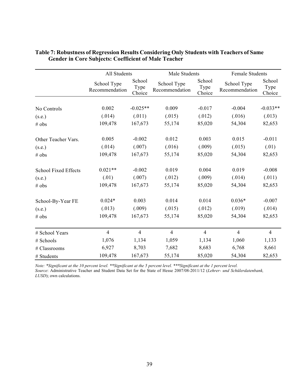|                             | All Students                  |                          |                               | Male Students            |                               | <b>Female Students</b>   |  |
|-----------------------------|-------------------------------|--------------------------|-------------------------------|--------------------------|-------------------------------|--------------------------|--|
|                             | School Type<br>Recommendation | School<br>Type<br>Choice | School Type<br>Recommendation | School<br>Type<br>Choice | School Type<br>Recommendation | School<br>Type<br>Choice |  |
|                             |                               |                          |                               |                          |                               |                          |  |
| No Controls                 | 0.002                         | $-0.025**$               | 0.009                         | $-0.017$                 | $-0.004$                      | $-0.033**$               |  |
| (s.e.)                      | (.014)                        | (.011)                   | (.015)                        | (.012)                   | (.016)                        | (.013)                   |  |
| # obs                       | 109,478                       | 167,673                  | 55,174                        | 85,020                   | 54,304                        | 82,653                   |  |
| Other Teacher Vars.         | 0.005                         | $-0.002$                 | 0.012                         | 0.003                    | 0.015                         | $-0.011$                 |  |
| (s.e.)                      | (.014)                        | (.007)                   | (.016)                        | (.009)                   | (.015)                        | (.01)                    |  |
| # obs                       | 109,478                       | 167,673                  | 55,174                        | 85,020                   | 54,304                        | 82,653                   |  |
| <b>School Fixed Effects</b> | $0.021**$                     | $-0.002$                 | 0.019                         | 0.004                    | 0.019                         | $-0.008$                 |  |
| (s.e.)                      | (.01)                         | (.007)                   | (.012)                        | (.009)                   | (.014)                        | (.011)                   |  |
| # obs                       | 109,478                       | 167,673                  | 55,174                        | 85,020                   | 54,304                        | 82,653                   |  |
| School-By-Year FE           | $0.024*$                      | 0.003                    | 0.014                         | 0.014                    | $0.036*$                      | $-0.007$                 |  |
| (s.e.)                      | (.013)                        | (.009)                   | (.015)                        | (.012)                   | (.019)                        | (.014)                   |  |
| # obs                       | 109,478                       | 167,673                  | 55,174                        | 85,020                   | 54,304                        | 82,653                   |  |
| # School Years              | $\overline{4}$                | $\overline{4}$           | $\overline{4}$                | $\overline{4}$           | $\overline{4}$                | $\overline{4}$           |  |
| # Schools                   | 1,076                         | 1,134                    | 1,059                         | 1,134                    | 1,060                         | 1,133                    |  |
| # Classrooms                | 6,927                         | 8,703                    | 7,682                         | 8,683                    | 6,768                         | 8,661                    |  |
| # Students                  | 109,478                       | 167,673                  | 55,174                        | 85,020                   | 54,304                        | 82,653                   |  |

#### **Table 7: Robustness of Regression Results Considering Only Students with Teachers of Same Gender in Core Subjects: Coefficient of Male Teacher**

*Note: \*Significant at the 10 percent level. \*\*Significant at the 5 percent level. \*\*\*Significant at the 1 percent level.*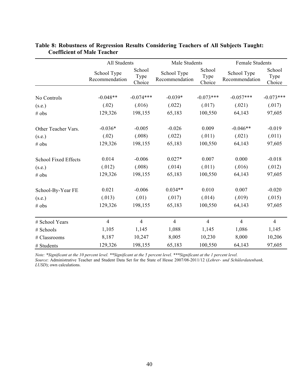|                             | All Students                  |                          | Male Students                 |                          | <b>Female Students</b>        |                          |
|-----------------------------|-------------------------------|--------------------------|-------------------------------|--------------------------|-------------------------------|--------------------------|
|                             | School Type<br>Recommendation | School<br>Type<br>Choice | School Type<br>Recommendation | School<br>Type<br>Choice | School Type<br>Recommendation | School<br>Type<br>Choice |
|                             |                               |                          |                               |                          |                               |                          |
| No Controls                 | $-0.048**$                    | $-0.074***$              | $-0.039*$                     | $-0.073***$              | $-0.057***$                   | $-0.073***$              |
| (s.e.)                      | (.02)                         | (.016)                   | (.022)                        | (.017)                   | (.021)                        | (.017)                   |
| # obs                       | 129,326                       | 198,155                  | 65,183                        | 100,550                  | 64,143                        | 97,605                   |
| Other Teacher Vars.         | $-0.036*$                     | $-0.005$                 | $-0.026$                      | 0.009                    | $-0.046**$                    | $-0.019$                 |
| (s.e.)                      | (.02)                         | (.008)                   | (.022)                        | (.011)                   | (.021)                        | (.011)                   |
| # obs                       | 129,326                       | 198,155                  | 65,183                        | 100,550                  | 64,143                        | 97,605                   |
| <b>School Fixed Effects</b> | 0.014                         | $-0.006$                 | $0.027*$                      | 0.007                    | 0.000                         | $-0.018$                 |
| (s.e.)                      | (.012)                        | (.008)                   | (.014)                        | (.011)                   | (.016)                        | (.012)                   |
| # obs                       | 129,326                       | 198,155                  | 65,183                        | 100,550                  | 64,143                        | 97,605                   |
| School-By-Year FE           | 0.021                         | $-0.006$                 | $0.034**$                     | 0.010                    | 0.007                         | $-0.020$                 |
| (s.e.)                      | (.013)                        | (.01)                    | (.017)                        | (.014)                   | (.019)                        | (.015)                   |
| # obs                       | 129,326                       | 198,155                  | 65,183                        | 100,550                  | 64,143                        | 97,605                   |
| # School Years              | $\overline{4}$                | $\overline{4}$           | $\overline{4}$                | $\overline{4}$           | $\overline{4}$                | $\overline{4}$           |
| # Schools                   | 1,105                         | 1,145                    | 1,088                         | 1,145                    | 1,086                         | 1,145                    |
| # Classrooms                | 8,187                         | 10,247                   | 8,005                         | 10,230                   | 8,000                         | 10,206                   |
| # Students                  | 129,326                       | 198,155                  | 65,183                        | 100,550                  | 64,143                        | 97,605                   |

#### **Table 8: Robustness of Regression Results Considering Teachers of All Subjects Taught: Coefficient of Male Teacher**

*Note: \*Significant at the 10 percent level. \*\*Significant at the 5 percent level. \*\*\*Significant at the 1 percent level.*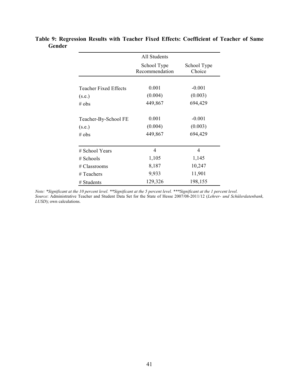|                              | All Students                  |                       |
|------------------------------|-------------------------------|-----------------------|
|                              | School Type<br>Recommendation | School Type<br>Choice |
|                              |                               |                       |
| <b>Teacher Fixed Effects</b> | 0.001                         | $-0.001$              |
| (s.e.)                       | (0.004)                       | (0.003)               |
| $#$ obs                      | 449,867                       | 694,429               |
| Teacher-By-School FE         | 0.001                         | $-0.001$              |
| (s.e.)                       | (0.004)                       | (0.003)               |
| # obs                        | 449,867                       | 694,429               |
| # School Years               | 4                             | 4                     |
| $#$ Schools                  | 1,105                         | 1,145                 |
| # Classrooms                 | 8,187                         | 10,247                |
| # Teachers                   | 9,933                         | 11,901                |
| # Students                   | 129,326                       | 198,155               |

**Table 9: Regression Results with Teacher Fixed Effects: Coefficient of Teacher of Same Gender**

*Note: \*Significant at the 10 percent level. \*\*Significant at the 5 percent level. \*\*\*Significant at the 1 percent level. Source*: Administrative Teacher and Student Data Set for the State of Hesse 2007/08-2011/12 (*Lehrer- und Schülerdatenbank, LUSD*); own calculations.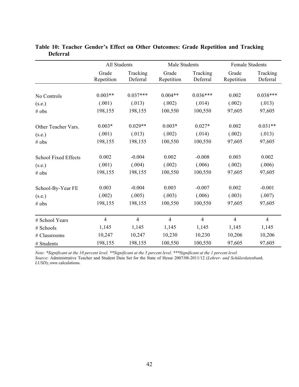|                             | All Students        |                      | Male Students       |                      | <b>Female Students</b> |                      |  |
|-----------------------------|---------------------|----------------------|---------------------|----------------------|------------------------|----------------------|--|
|                             | Grade<br>Repetition | Tracking<br>Deferral | Grade<br>Repetition | Tracking<br>Deferral | Grade<br>Repetition    | Tracking<br>Deferral |  |
|                             |                     |                      |                     |                      |                        |                      |  |
| No Controls                 | $0.003**$           | $0.037***$           | $0.004**$           | $0.036***$           | 0.002                  | $0.038***$           |  |
| (s.e.)                      | (.001)              | (.013)               | (.002)              | (.014)               | (.002)                 | (.013)               |  |
| # obs                       | 198,155             | 198,155              | 100,550             | 100,550              | 97,605                 | 97,605               |  |
| Other Teacher Vars.         | $0.003*$            | $0.029**$            | $0.003*$            | $0.027*$             | 0.002                  | $0.031**$            |  |
| (s.e.)                      | (.001)              | (.013)               | (.002)              | (.014)               | (.002)                 | (.013)               |  |
| # obs                       | 198,155             | 198,155              | 100,550             | 100,550              |                        | 97,605               |  |
| <b>School Fixed Effects</b> | 0.002               | $-0.004$             | 0.002               | $-0.008$             | 0.003                  | 0.002                |  |
| (s.e.)                      | (.001)              | (.004)               | (.002)              | (.006)               | (.002)                 | (.006)               |  |
| # obs                       | 198,155             | 198,155              | 100,550<br>100,550  |                      | 97,605                 | 97,605               |  |
| School-By-Year FE           | 0.003               | $-0.004$             | 0.003               | $-0.007$             | 0.002                  | $-0.001$             |  |
| (s.e.)                      | (.002)              | (.005)               | (.003)              | (.006)               | (.003)                 | (.007)               |  |
| # obs                       | 198,155             | 198,155              | 100,550             | 100,550              | 97,605                 | 97,605               |  |
| # School Years              | $\overline{4}$      | $\overline{4}$       | $\overline{4}$      | $\overline{4}$       | $\overline{4}$         | $\overline{4}$       |  |
| # Schools                   | 1,145               | 1,145                | 1,145               | 1,145                | 1,145                  | 1,145                |  |
| # Classrooms                | 10,247              | 10,247               | 10,230              | 10,230               | 10,206                 | 10,206               |  |
| # Students                  | 198,155             | 198,155              | 100,550             | 100,550              | 97,605                 | 97,605               |  |

**Table 10: Teacher Gender's Effect on Other Outcomes: Grade Repetition and Tracking Deferral** 

*Note: \*Significant at the 10 percent level. \*\*Significant at the 5 percent level. \*\*\*Significant at the 1 percent level.*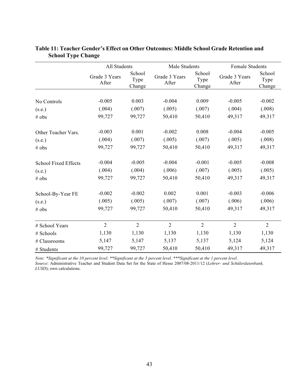|                             | All Students           |                          | Male Students          |                          | <b>Female Students</b> |                          |  |
|-----------------------------|------------------------|--------------------------|------------------------|--------------------------|------------------------|--------------------------|--|
|                             | Grade 3 Years<br>After | School<br>Type<br>Change | Grade 3 Years<br>After | School<br>Type<br>Change | Grade 3 Years<br>After | School<br>Type<br>Change |  |
|                             |                        |                          |                        |                          |                        |                          |  |
| No Controls                 | $-0.005$               | 0.003                    | $-0.004$               | 0.009                    | $-0.005$               | $-0.002$                 |  |
| (s.e.)                      | (.004)                 | (.007)                   | (.005)                 | (.007)                   | (.004)                 | (.008)                   |  |
| # obs                       | 99,727                 | 99,727                   | 50,410                 | 50,410                   | 49,317                 | 49,317                   |  |
| Other Teacher Vars.         | $-0.003$               | 0.001                    | $-0.002$               | 0.008                    | $-0.004$               | $-0.005$                 |  |
| (s.e.)                      | (.004)                 | (.007)                   | (.005)                 | (.007)                   | (.005)                 | (.008)                   |  |
| # obs                       | 99,727                 | 99,727                   | 50,410                 | 50,410                   | 49,317                 | 49,317                   |  |
| <b>School Fixed Effects</b> | $-0.004$               | $-0.005$                 | $-0.004$               | $-0.001$                 | $-0.005$               | $-0.008$                 |  |
| (s.e.)                      | (.004)                 | (.004)                   | (.006)                 | (.007)                   | (.005)                 | (.005)                   |  |
| # obs                       | 99,727                 | 99,727                   | 50,410                 | 50,410                   | 49,317                 | 49,317                   |  |
| School-By-Year FE           | $-0.002$               | $-0.002$                 | 0.002                  | 0.001                    | $-0.003$               | $-0.006$                 |  |
| (s.e.)                      | (.005)                 | (.005)                   | (.007)                 | (.007)                   | (.006)                 | (.006)                   |  |
| # obs                       | 99,727                 | 99,727                   | 50,410                 | 50,410                   | 49,317                 | 49,317                   |  |
| # School Years              | $\overline{2}$         | $\overline{2}$           | $\overline{2}$         | $\overline{2}$           | $\overline{2}$         | $\overline{2}$           |  |
| # Schools                   | 1,130                  | 1,130                    | 1,130                  | 1,130                    | 1,130                  | 1,130                    |  |
| # Classrooms                | 5,147                  | 5,147                    | 5,137                  | 5,137                    | 5,124                  | 5,124                    |  |
| # Students                  | 99,727                 | 99,727                   | 50,410                 | 50,410                   | 49,317                 | 49,317                   |  |

### **Table 11: Teacher Gender's Effect on Other Outcomes: Middle School Grade Retention and School Type Change**

*Note: \*Significant at the 10 percent level. \*\*Significant at the 5 percent level. \*\*\*Significant at the 1 percent level.*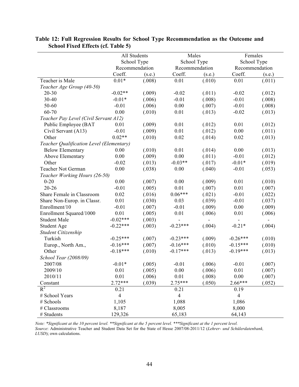|                                          | All Students<br>School Type<br>Recommendation |        | Males                    |        | Females<br>School Type<br>Recommendation |        |  |
|------------------------------------------|-----------------------------------------------|--------|--------------------------|--------|------------------------------------------|--------|--|
|                                          |                                               |        | School Type              |        |                                          |        |  |
|                                          |                                               |        | Recommendation           |        |                                          |        |  |
|                                          | Coeff.                                        | (s.e.) | Coeff.                   | (s.e.) | Coeff.                                   | (s.e.) |  |
| Teacher is Male                          | $0.01*$                                       | (.008) | 0.01                     | (.010) | 0.01                                     | (.011) |  |
| Teacher Age Group (40-50)                |                                               |        |                          |        |                                          |        |  |
| $20 - 30$                                | $-0.02**$                                     | (.009) | $-0.02$                  | (.011) | $-0.02$                                  | (.012) |  |
| 30-40                                    | $-0.01*$                                      | (.006) | $-0.01$                  | (.008) | $-0.01$                                  | (.008) |  |
| 50-60                                    | $-0.01$                                       | (.006) | $0.00\,$                 | (.007) | $-0.01$                                  | (.008) |  |
| 60-70                                    | 0.00                                          | (.010) | 0.01                     | (.013) | $-0.02$                                  | (.013) |  |
| Teacher Pay Level (Civil Servant A12)    |                                               |        |                          |        |                                          |        |  |
| Public Employee (BAT                     | 0.01                                          | (.009) | 0.01                     | (.012) | $0.01\,$                                 | (.012) |  |
| Civil Servant (A13)                      | $-0.01$                                       | (.009) | 0.01                     | (.012) | 0.00                                     | (.011) |  |
| Other                                    | $0.02**$                                      | (.010) | 0.02                     | (.014) | 0.02                                     | (.013) |  |
| Teacher Qualification Level (Elementary) |                                               |        |                          |        |                                          |        |  |
| <b>Below Elementary</b>                  | 0.00                                          | (.010) | 0.01                     | (.014) | 0.00                                     | (.013) |  |
| Above Elementary                         | $0.00\,$                                      | (.009) | 0.00                     | (.011) | $-0.01$                                  | (.012) |  |
| Other                                    | $-0.02$                                       | (.013) | $-0.03**$                | (.017) | $-0.01*$                                 | (.019) |  |
| Teacher Not German                       | 0.00                                          | (.038) | 0.00                     | (.040) | $-0.01$                                  | (.053) |  |
| Teacher Working Hours (26-50)            |                                               |        |                          |        |                                          |        |  |
| $0 - 20$                                 | 0.00                                          | (.007) | 0.00                     | (.009) | 0.01                                     | (.010) |  |
| $20 - 26$                                | $-0.01$                                       | (.005) | 0.01                     | (.007) | 0.01                                     | (.007) |  |
| Share Female in Classroom                | 0.02                                          | (.016) | $0.06***$                | (.021) | $-0.01$                                  | (.022) |  |
| Share Non-Europ. in Classr.              | 0.01                                          | (.030) | 0.03                     | (.039) | $-0.01$                                  | (.037) |  |
| Enrollment/10                            | $-0.01$                                       | (.007) | $-0.01$                  | (.009) | 0.00                                     | (.009) |  |
| Enrollment Squared/1000                  | 0.01                                          | (.005) | 0.01                     | (.006) | 0.01                                     | (.006) |  |
| <b>Student Male</b>                      | $-0.02***$                                    | (.003) | $\overline{\phantom{0}}$ |        | $\qquad \qquad \blacksquare$             | -      |  |
| <b>Student Age</b>                       | $-0.22***$                                    | (.003) | $-0.23***$               | (.004) | $-0.21*$                                 | (.004) |  |
| Student Citizenship                      |                                               |        |                          |        |                                          |        |  |
| Turkish                                  | $-0.25***$                                    | (.007) | $-0.23***$               | (.009) | $-0.26***$                               | (.010) |  |
| Europ., North Am.,                       | $-0.16***$                                    | (.007) | $-0.16***$               | (.010) | $-0.15***$                               | (.010) |  |
| Other                                    | $-0.18***$                                    | (.010) | $-0.17***$               | (.013) | $-0.19***$                               | (.013) |  |
| School Year (2008/09)                    |                                               |        |                          |        |                                          |        |  |
| 2007/08                                  | $-0.01*$                                      | (.005) | $-0.01$                  | (.006) | $-0.01$                                  | (.007) |  |
| 2009/10                                  | 0.01                                          | (.005) | 0.00                     | (.006) | 0.01                                     | (.007) |  |
| 2010/11                                  | 0.01                                          | (.006) | 0.01                     | (.008) | 0.00                                     | (.007) |  |
| Constant                                 | $2.72***$                                     | (.039) | $2.75***$                | (.050) | 2.66***                                  | (.052) |  |
| $R^2$                                    | 0.21                                          |        | 0.21                     |        | 0.19                                     |        |  |
| # School Years                           | $\overline{4}$                                |        | $\overline{4}$           |        | $\overline{4}$                           |        |  |
| # Schools                                | 1,105                                         |        | 1,088                    |        | 1,086                                    |        |  |
| # Classrooms                             | 8,187                                         |        | 8,005                    |        | 8,000                                    |        |  |
| # Students                               | 129,326                                       |        | 65,183                   |        | 64,143                                   |        |  |

**Table 12: Full Regression Results for School Type Recommendation as the Outcome and School Fixed Effects (cf. Table 5)**

*Note: \*Significant at the 10 percent level. \*\*Significant at the 5 percent level. \*\*\*Significant at the 1 percent level.*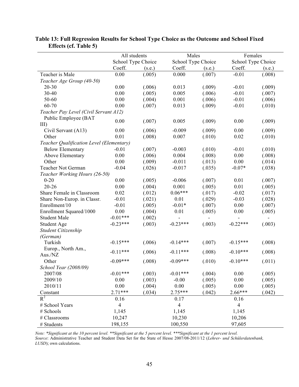|                                          | All students       |        | Males              |        | Females            |        |
|------------------------------------------|--------------------|--------|--------------------|--------|--------------------|--------|
|                                          | School Type Choice |        | School Type Choice |        | School Type Choice |        |
|                                          | Coeff.             | (s.e.) | Coeff.             | (s.e.) | Coeff.             | (s.e.) |
| Teacher is Male                          | 0.00               | (.005) | 0.000              | (.007) | $-0.01$            | (.008) |
| Teacher Age Group (40-50)                |                    |        |                    |        |                    |        |
| $20 - 30$                                | 0.00               | (.006) | 0.013              | (.009) | $-0.01$            | (.009) |
| 30-40                                    | 0.00               | (.005) | 0.005              | (.006) | $-0.01$            | (.007) |
| 50-60                                    | 0.00               | (.004) | 0.001              | (.006) | $-0.01$            | (.006) |
| 60-70                                    | 0.00               | (.007) | 0.013              | (.009) | $-0.01$            | (.010) |
| Teacher Pay Level (Civil Servant A12)    |                    |        |                    |        |                    |        |
| Public Employee (BAT                     | 0.00               | (.007) | 0.005              | (.009) | 0.00               | (.009) |
| $III$ )                                  |                    |        |                    |        |                    |        |
| Civil Servant (A13)                      | 0.00               | (.006) | $-0.009$           | (.009) | 0.00               | (.009) |
| Other                                    | 0.01               | (.008) | 0.007              | (.010) | 0.02               | (.010) |
| Teacher Qualification Level (Elementary) |                    |        |                    |        |                    |        |
| <b>Below Elementary</b>                  | $-0.01$            | (.007) | $-0.003$           | (.010) | $-0.01$            | (.010) |
| Above Elementary                         | 0.00               | (.006) | 0.004              | (.008) | 0.00               | (.008) |
| Other                                    | 0.00               | (.009) | $-0.011$           | (.013) | 0.00               | (.014) |
| Teacher Not German                       | $-0.04$            | (.026) | $-0.017$           | (.035) | $-0.07*$           | (.038) |
| Teacher Working Hours (26-50)            |                    |        |                    |        |                    |        |
| $0 - 20$                                 | 0.00               | (.005) | $-0.006$           | (.007) | 0.01               | (.007) |
| $20 - 26$                                | 0.00               | (.004) | 0.001              | (.005) | 0.01               | (.005) |
| Share Female in Classroom                | 0.02               | (.012) | $0.06***$          | (.017) | $-0.02$            | (.017) |
| Share Non-Europ. in Classr.              | $-0.01$            | (.021) | 0.01               | (.029) | $-0.03$            | (.028) |
| Enrollment/10                            | $-0.01$            | (.005) | $-0.01*$           | (.007) | 0.00               | (.007) |
| Enrollment Squared/1000                  | 0.00               | (.004) | 0.01               | (.005) | 0.00               | (.005) |
| <b>Student Male</b>                      | $-0.01***$         | (.002) |                    |        |                    |        |
| <b>Student Age</b>                       | $-0.23***$         | (.003) | $-0.23***$         | (.003) | $-0.22***$         | (.003) |
| Student Citizenship                      |                    |        |                    |        |                    |        |
| (German)                                 |                    |        |                    |        |                    |        |
| Turkish                                  | $-0.15***$         | (.006) | $-0.14***$         | (.007) | $-0.15***$         | (.008) |
| Europ., North Am.,                       | $-0.11***$         | (.006) | $-0.11***$         | (.008) | $-0.10***$         |        |
| Aus./NZ                                  |                    |        |                    |        |                    | (.008) |
| Other                                    | $-0.09***$         | (.008) | $-0.09***$         | (.010) | $-0.10***$         | (.011) |
| School Year (2008/09)                    |                    |        |                    |        |                    |        |
| 2007/08                                  | $-0.01***$         | (.003) | $-0.01***$         | (.004) | 0.00               | (.005) |
| 2009/10                                  | 0.00               | (.003) | $-0.00$            | (.005) | 0.00               | (.005) |
| 2010/11                                  | 0.00               | (.004) | $0.00\,$           | (.005) | 0.00               | (.005) |
| Constant                                 | $2.71***$          | (.034) | 2.75***            | (.042) | 2.66***            | (.042) |
| $R^2$                                    | 0.16               |        | 0.17               |        | 0.16               |        |
| # School Years                           | $\overline{4}$     |        | $\overline{4}$     |        | $\overline{4}$     |        |
| # Schools                                | 1,145              |        | 1,145              |        | 1,145              |        |
| # Classrooms                             | 10,247             |        | 10,230             |        | 10,206             |        |
| # Students                               | 198,155            |        | 100,550            |        | 97,605             |        |

**Table 13: Full Regression Results for School Type Choice as the Outcome and School Fixed Effects (cf. Table 5)**

*Note: \*Significant at the 10 percent level. \*\*Significant at the 5 percent level. \*\*\*Significant at the 1 percent level.*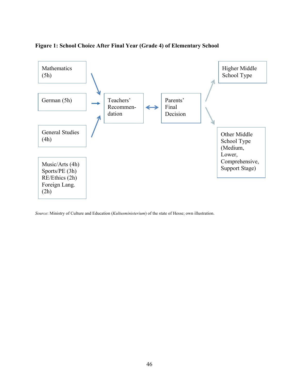

### **Figure 1: School Choice After Final Year (Grade 4) of Elementary School**

*Source*: Ministry of Culture and Education (*Kultusministerium*) of the state of Hesse; own illustration.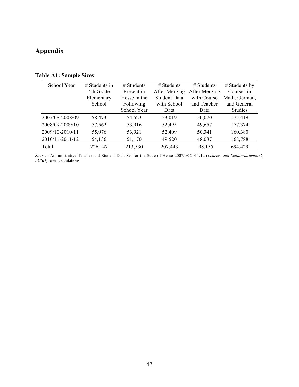## **Appendix**

### **Table A1: Sample Sizes**

| School Year     | $#$ Students in<br>4th Grade | $#$ Students<br>Present in | $#$ Students<br>After Merging | $#$ Students<br>After Merging | # Students by<br>Courses in |
|-----------------|------------------------------|----------------------------|-------------------------------|-------------------------------|-----------------------------|
|                 | Elementary                   | Hesse in the               | <b>Student Data</b>           | with Course                   | Math, German,               |
|                 | School                       | Following                  | with School                   | and Teacher                   | and General                 |
|                 |                              | School Year                | Data                          | Data                          | <b>Studies</b>              |
| 2007/08-2008/09 | 58,473                       | 54,523                     | 53,019                        | 50,070                        | 175,419                     |
| 2008/09-2009/10 | 57,562                       | 53,916                     | 52,495                        | 49,657                        | 177,374                     |
| 2009/10-2010/11 | 55,976                       | 53,921                     | 52,409                        | 50,341                        | 160,380                     |
| 2010/11-2011/12 | 54,136                       | 51,170                     | 49,520                        | 48,087                        | 168,788                     |
| Total           | 226,147                      | 213,530                    | 207,443                       | 198,155                       | 694,429                     |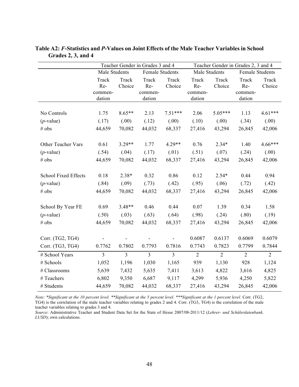|                      | Teacher Gender in Grades 3 and 4  |                 |                                   |                 | Teacher Gender in Grades 2, 3 and 4 |                 |                                   |                 |
|----------------------|-----------------------------------|-----------------|-----------------------------------|-----------------|-------------------------------------|-----------------|-----------------------------------|-----------------|
|                      | Male Students                     |                 | <b>Female Students</b>            |                 | Male Students                       |                 | <b>Female Students</b>            |                 |
|                      | Track<br>Re-<br>commen-<br>dation | Track<br>Choice | Track<br>Re-<br>commen-<br>dation | Track<br>Choice | Track<br>Re-<br>commen-<br>dation   | Track<br>Choice | Track<br>Re-<br>commen-<br>dation | Track<br>Choice |
|                      |                                   |                 |                                   |                 |                                     |                 |                                   |                 |
| No Controls          | 1.75                              | $8.65**$        | 2.13                              | $7.51***$       | 2.06                                | 5.05***         | 1.13                              | $4.61***$       |
| $(p$ -value)         | (.17)                             | (.00)           | (.12)                             | (.00)           | (.10)                               | (.00)           | (.34)                             | (.00)           |
| # obs                | 44,659                            | 70,082          | 44,032                            | 68,337          | 27,416                              | 43,294          | 26,845                            | 42,006          |
| Other Teacher Vars   | 0.61                              | $3.29**$        | 1.77                              | $4.29**$        | 0.76                                | $2.34*$         | 1.40                              | 4.66***         |
| $(p$ -value)         | (.54)                             | (.04)           | (.17)                             | (.01)           | (.51)                               | (.07)           | (.24)                             | (.00)           |
| # obs                | 44,659                            | 70,082          | 44,032                            | 68,337          | 27,416                              | 43,294          | 26,845                            | 42,006          |
| School Fixed Effects | 0.18                              | $2.38*$         | 0.32                              | 0.86            | 0.12                                | $2.54*$         | 0.44                              | 0.94            |
| $(p$ -value)         | (.84)                             | (.09)           | (.73)                             | (.42)           | (.95)                               | (.06)           | (.72)                             | (.42)           |
| # obs                | 44,659                            | 70,082          | 44,032                            | 68,337          | 27,416                              | 43,294          | 26,845                            | 42,006          |
|                      |                                   |                 |                                   |                 |                                     |                 |                                   |                 |
| School By Year FE    | 0.69                              | $3.48**$        | 0.46                              | 0.44            | 0.07                                | 1.39            | 0.34                              | 1.58            |
| $(p$ -value)         | (.50)                             | (.03)           | (.63)                             | (.64)           | (.98)                               | (.24)           | (.80)                             | (.19)           |
| # obs                | 44,659                            | 70,082          | 44,032                            | 68,337          | 27,416                              | 43,294          | 26,845                            | 42,006          |
| Corr. (TG2, TG4)     |                                   |                 |                                   |                 | 0.6087                              | 0.6137          | 0.6069                            | 0.6079          |
| Corr. (TG3, TG4)     | 0.7762                            | 0.7802          | 0.7793                            | 0.7816          | 0.7743                              | 0.7823          | 0.7799                            | 0.7844          |
| # School Years       | $\overline{3}$                    | $\overline{3}$  | $\overline{3}$                    | $\overline{3}$  | $\overline{2}$                      | $\overline{2}$  | $\overline{2}$                    | $\overline{2}$  |
| # Schools            | 1,052                             | 1,196           | 1,030                             | 1,165           | 939                                 | 1,130           | 928                               | 1,124           |
| # Classrooms         | 5,639                             | 7,432           | 5,635                             | 7,411           | 3,613                               | 4,822           | 3,616                             | 4,825           |
| # Teachers           | 6,802                             | 9,350           | 6,687                             | 9,117           | 4,299                               | 5,936           | 4,250                             | 5,822           |
| # Students           | 44,659                            | 70,082          | 44,032                            | 68,337          | 27,416                              | 43,294          | 26,845                            | 42,006          |

**Table A2:** *F***-Statistics and** *P***-Values on Joint Effects of the Male Teacher Variables in School Grades 2, 3, and 4**

*Note: \*Significant at the 10 percent level. \*\*Significant at the 5 percent level. \*\*\*Significant at the 1 percent level.* Corr. (TG2, TG4) is the correlation of the male teacher variables relating to grades 2 and 4. Corr. (TG3, TG4) is the correlation of the male teacher variables relating to grades 3 and 4.